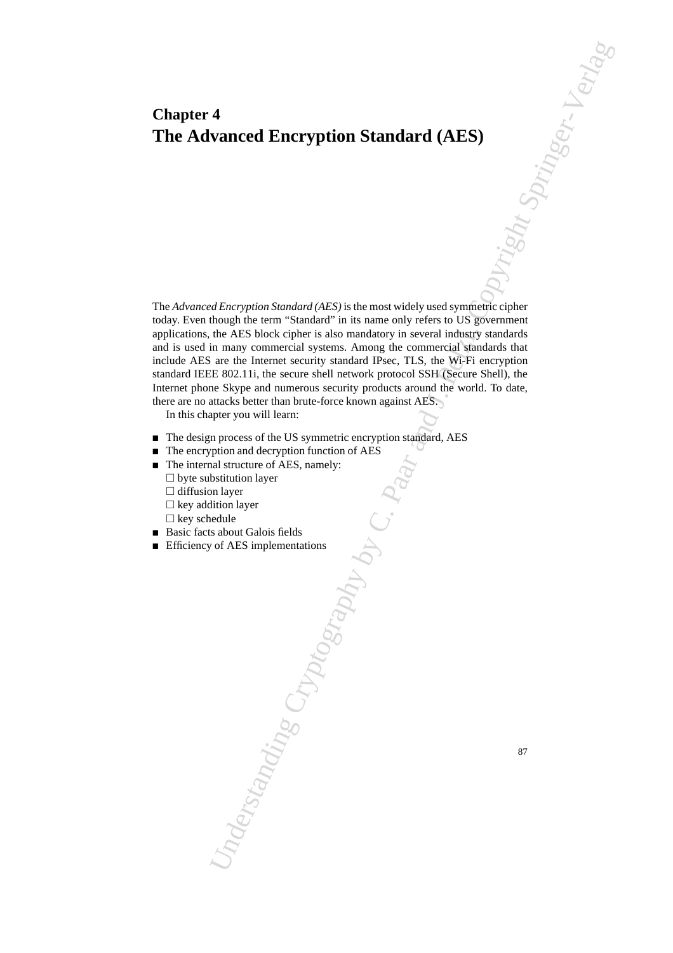# **Chapter 4 The Advanced Encryption Standard (AES)**

4<br>
vanced Encryption Standard (AES)  $\frac{1}{\sqrt{2}}$ <br>
defective Standard (AES) is the multi-standard control of the composite certain<br>
the and Shark certain is in the multi-state of the composite certain<br>
the AES had composit The *Advanced Encryption Standard (AES)* is the most widely used symmetric cipher today. Even though the term "Standard" in its name only refers to US government applications, the AES block cipher is also mandatory in several industry standards and is used in many commercial systems. Among the commercial standards that include AES are the Internet security standard IPsec, TLS, the Wi-Fi encryption standard IEEE 802.11i, the secure shell network protocol SSH (Secure Shell), the Internet phone Skype and numerous security products around the world. To date, there are no attacks better than brute-force known against AES.

In this chapter you will learn:

- The design process of the US symmetric encryption standard, AES
- $\blacksquare$  The encryption and decryption function of AES
- The internal structure of AES, namely:
	- $\square$  byte substitution layer
	- $\Box$  diffusion layer
	- $\Box$  key addition layer
	- $\Box$  key schedule
- Basic facts about Galois fields
- **Efficiency of AES implementations**

87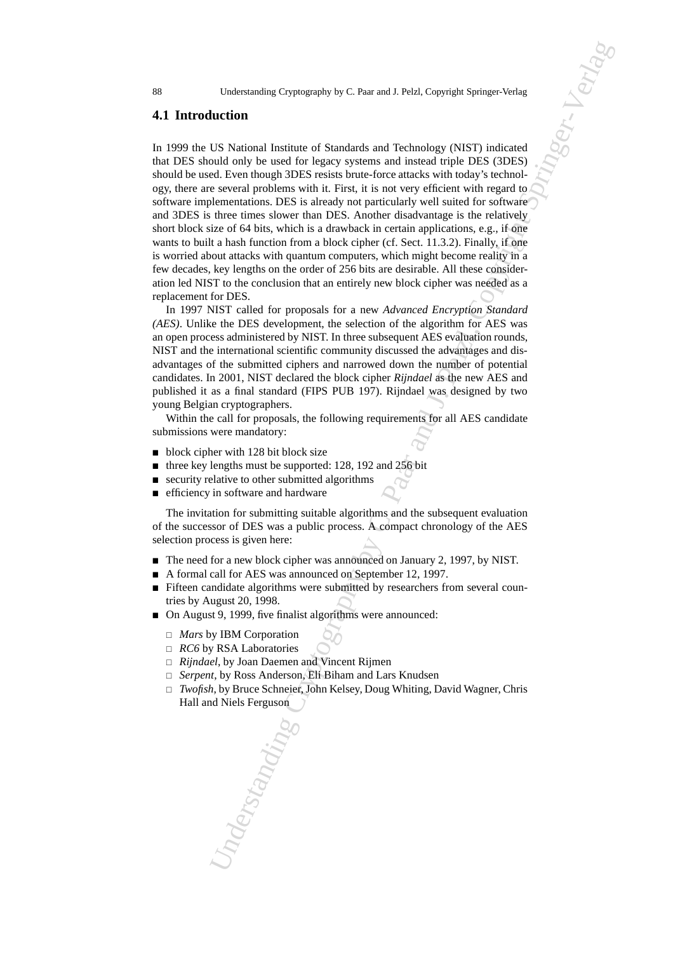### **4.1 Introduction**

Understanding Cryptography by C. Paar and J. Pelzl, Copyright Springer-Verlag<br>
Uncidentified Uncident Standards and Technology (NIST) indicated<br>
USIS National and by les used for legacy systems and instead with DFS (3DES) In 1999 the US National Institute of Standards and Technology (NIST) indicated that DES should only be used for legacy systems and instead triple DES (3DES) should be used. Even though 3DES resists brute-force attacks with today's technology, there are several problems with it. First, it is not very efficient with regard to software implementations. DES is already not particularly well suited for software and 3DES is three times slower than DES. Another disadvantage is the relatively short block size of 64 bits, which is a drawback in certain applications, e.g., if one wants to built a hash function from a block cipher (cf. Sect. 11.3.2). Finally, if one is worried about attacks with quantum computers, which might become reality in a few decades, key lengths on the order of 256 bits are desirable. All these consideration led NIST to the conclusion that an entirely new block cipher was needed as a replacement for DES.

In 1997 NIST called for proposals for a new *Advanced Encryption Standard (AES)*. Unlike the DES development, the selection of the algorithm for AES was an open process administered by NIST. In three subsequent AES evaluation rounds, NIST and the international scientific community discussed the advantages and disadvantages of the submitted ciphers and narrowed down the number of potential candidates. In 2001, NIST declared the block cipher *Rijndael* as the new AES and published it as a final standard (FIPS PUB 197). Rijndael was designed by two young Belgian cryptographers.

Within the call for proposals, the following requirements for all AES candidate submissions were mandatory:

- $\blacksquare$  block cipher with 128 bit block size
- $\blacksquare$  three key lengths must be supported: 128, 192 and 256 bit
- $\blacksquare$  security relative to other submitted algorithms
- **EX** efficiency in software and hardware

The invitation for submitting suitable algorithms and the subsequent evaluation of the successor of DES was a public process. A compact chronology of the AES selection process is given here:

- The need for a new block cipher was announced on January 2, 1997, by NIST.
- A formal call for AES was announced on September 12, 1997.
- Fifteen candidate algorithms were submitted by researchers from several countries by August 20, 1998.
- On August 9, 1999, five finalist algorithms were announced:
	- *Mars* by IBM Corporation
	- *RC6* by RSA Laboratories
	- *Rijndael*, by Joan Daemen and Vincent Rijmen
	- □ *Serpent*, by Ross Anderson, Eli Biham and Lars Knudsen
	- *Twofish*, by Bruce Schneier, John Kelsey, Doug Whiting, David Wagner, Chris Hall and Niels Ferguson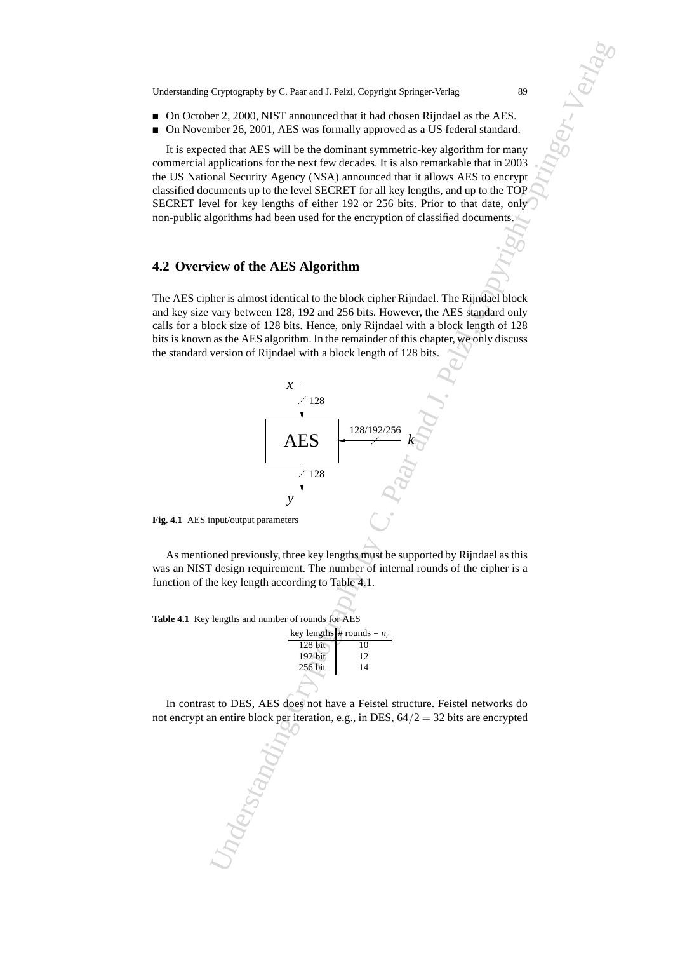- On October 2, 2000, NIST announced that it had chosen Rijndael as the AES.
- On November 26, 2001, AES was formally approved as a US federal standard.

It is expected that AES will be the dominant symmetric-key algorithm for many commercial applications for the next few decades. It is also remarkable that in 2003 the US National Security Agency (NSA) announced that it allows AES to encrypt classified documents up to the level SECRET for all key lengths, and up to the TOP SECRET level for key lengths of either 192 or 256 bits. Prior to that date, only non-public algorithms had been used for the encryption of classified documents.

# **4.2 Overview of the AES Algorithm**

The AES cipher is almost identical to the block cipher Rijndael. The Rijndael block and key size vary between 128, 192 and 256 bits. However, the AES standard only calls for a block size of 128 bits. Hence, only Rijndael with a block length of 128 bits is known as the AES algorithm. In the remainder of this chapter, we only discuss the standard version of Rijndael with a block length of 128 bits.



As mentioned previously, three key lengths must be supported by Rijndael as this was an NIST design requirement. The number of internal rounds of the cipher is a function of the key length according to Table 4.1.

**Table 4.1** Key lengths and number of rounds for AES

|           | key lengths # rounds = $n_r$ |
|-----------|------------------------------|
| $128$ bit | 10                           |
| 192 bit   | 12                           |
| 256 bit   | 14                           |
|           |                              |

In contrast to DES, AES does not have a Feistel structure. Feistel networks do not encrypt an entire block per iteration, e.g., in DES,  $64/2 = 32$  bits are encrypted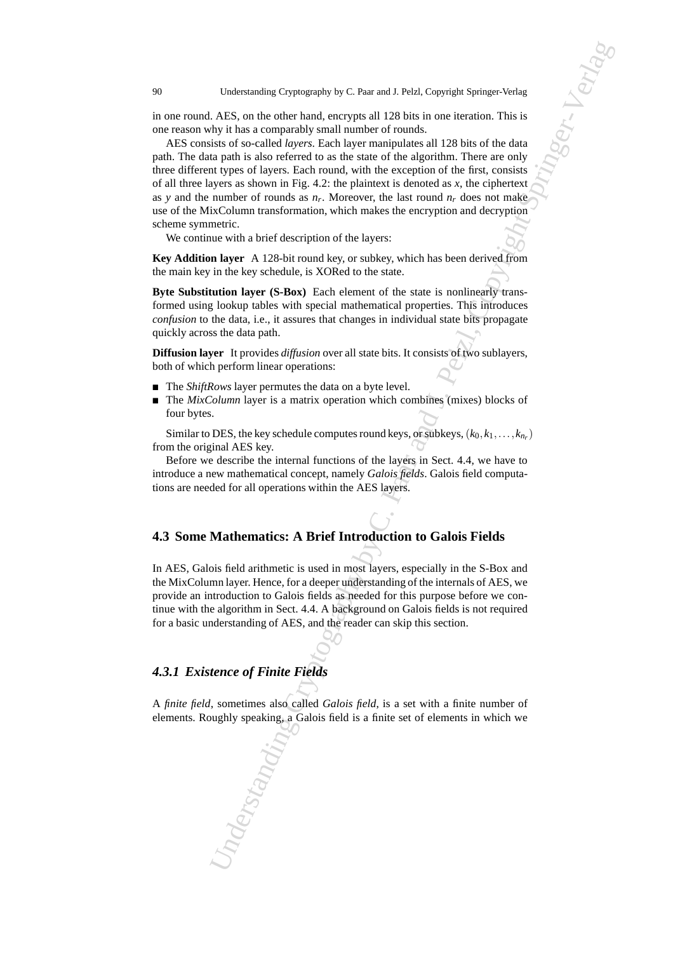in one round. AES, on the other hand, encrypts all 128 bits in one iteration. This is one reason why it has a comparably small number of rounds.

Understanding Cryptography by C. Paar and J. Pelzl, Copyright Springer-Verlag<br>
2. ABS, on the other band, cocopyright 20 Rivins in one is circuito. This is seen to other bands and spread and and springer-Verlag and J. Pel AES consists of so-called *layers*. Each layer manipulates all 128 bits of the data path. The data path is also referred to as the state of the algorithm. There are only three different types of layers. Each round, with the exception of the first, consists of all three layers as shown in Fig. 4.2: the plaintext is denoted as *x*, the ciphertext as *y* and the number of rounds as  $n_r$ . Moreover, the last round  $n_r$  does not make use of the MixColumn transformation, which makes the encryption and decryption scheme symmetric.

We continue with a brief description of the layers:

**Key Addition layer** A 128-bit round key, or subkey, which has been derived from the main key in the key schedule, is XORed to the state.

**Byte Substitution layer (S-Box)** Each element of the state is nonlinearly transformed using lookup tables with special mathematical properties. This introduces *confusion* to the data, i.e., it assures that changes in individual state bits propagate quickly across the data path.

**Diffusion layer** It provides *diffusion* over all state bits. It consists of two sublayers, both of which perform linear operations:

- The *ShiftRows* layer permutes the data on a byte level.
- The *MixColumn* layer is a matrix operation which combines (mixes) blocks of four bytes.

Similar to DES, the key schedule computes round keys, or subkeys,  $(k_0, k_1, \ldots, k_{n_r})$ from the original AES key.

Before we describe the internal functions of the layers in Sect. 4.4, we have to introduce a new mathematical concept, namely *Galois fields*. Galois field computations are needed for all operations within the AES layers.

# **4.3 Some Mathematics: A Brief Introduction to Galois Fields**

In AES, Galois field arithmetic is used in most layers, especially in the S-Box and the MixColumn layer. Hence, for a deeper understanding of the internals of AES, we provide an introduction to Galois fields as needed for this purpose before we continue with the algorithm in Sect. 4.4. A background on Galois fields is not required for a basic understanding of AES, and the reader can skip this section.

# *4.3.1 Existence of Finite Fields*

A *finite field*, sometimes also called *Galois field*, is a set with a finite number of elements. Roughly speaking, a Galois field is a finite set of elements in which we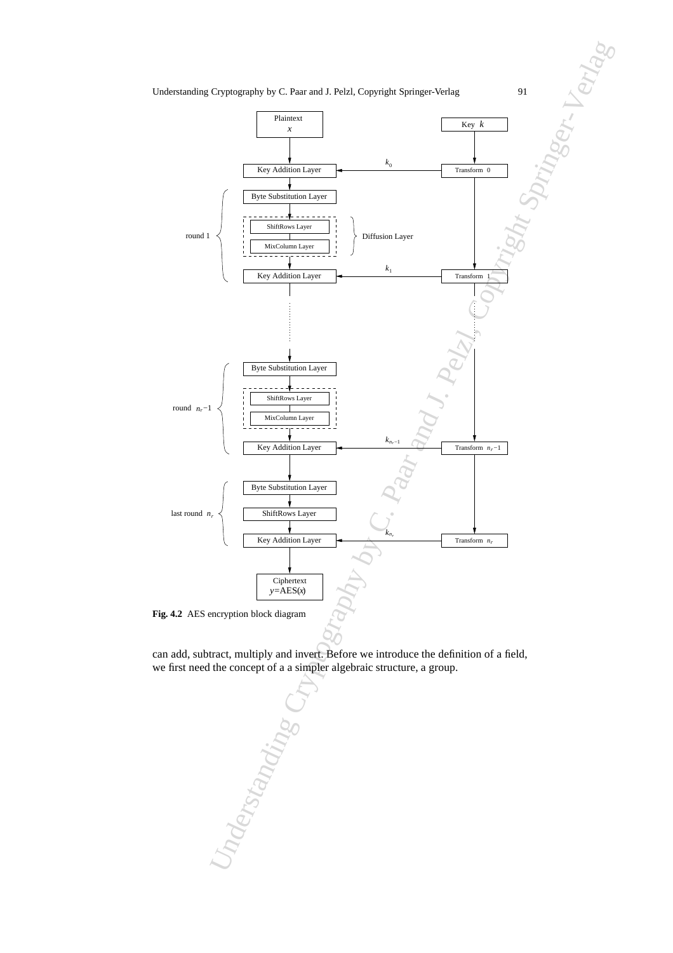

can add, subtract, multiply and invert. Before we introduce the definition of a field, we first need the concept of a a simpler algebraic structure, a group.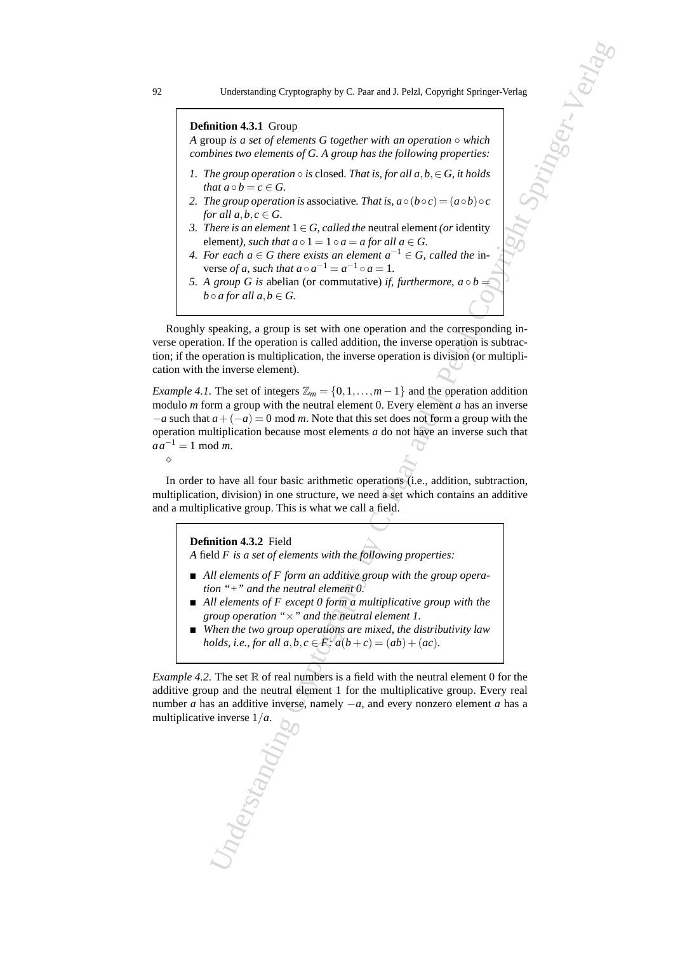#### **Definition 4.3.1** Group

*A* group *is a set of elements G together with an operation* ◦ *which combines two elements of G. A group has the following properties:*

- *1. The group operation*  $\circ$  *is* closed. That is, for all  $a, b \in G$ , it holds *that*  $a \circ b = c \in G$ .
- *2. The group operation is associative. That is,*  $a \circ (b \circ c) = (a \circ b) \circ c$ *for all*  $a, b, c \in G$ .
- *3. There is an element*  $1 ∈ G$ *, called the neutral element (or identity* element), such that  $a \circ 1 = 1 \circ a = a$  for all  $a \in G$ .
- *4. For each a* ∈ *G* there exists an element  $a^{-1}$  ∈ *G*, called the inverse *of a, such that*  $a \circ a^{-1} = a^{-1} \circ a = 1$ .
- *5. A group G is abelian (or commutative) if, furthermore,*  $a \circ b =$ *b* $\circ$ *a for all*  $a, b \in G$ .

Roughly speaking, a group is set with one operation and the corresponding inverse operation. If the operation is called addition, the inverse operation is subtraction; if the operation is multiplication, the inverse operation is division (or multiplication with the inverse element).

Understanding Cryptography by C. Paar and J. Pelzl, Copyright Springer-Verlag<br>
Midton 4.3.1 Group<br>
Midton 4.3.1 Group<br>
the grow operatories of O. A group at also galaxe with an operation verbicle<br>
by grow operatories of i *Example 4.1.* The set of integers  $\mathbb{Z}_m = \{0, 1, \ldots, m-1\}$  and the operation addition modulo *m* form a group with the neutral element 0. Every element *a* has an inverse −*a* such that *a*+(−*a*) = 0 mod *m*. Note that this set does not form a group with the operation multiplication because most elements *a* do not have an inverse such that  $aa^{-1} = 1 \mod m$ . ⋄

In order to have all four basic arithmetic operations (i.e., addition, subtraction, multiplication, division) in one structure, we need a set which contains an additive and a multiplicative group. This is what we call a field.

#### **Definition 4.3.2** Field

*A* field *F is a set of elements with the following properties:*

- *All elements of F form an additive group with the group operation "+" and the neutral element 0.*
- *All elements of F except 0 form a multiplicative group with the group operation "*×*" and the neutral element 1.*
- *When the two group operations are mixed, the distributivity law holds, i.e., for all a,b,c*  $\in$  *F:*  $a(b+c) = (ab) + (ac)$ *.*

*Example 4.2.* The set  $\mathbb R$  of real numbers is a field with the neutral element 0 for the additive group and the neutral element 1 for the multiplicative group. Every real number *a* has an additive inverse, namely  $-a$ , and every nonzero element *a* has a multiplicative inverse 1/*a*.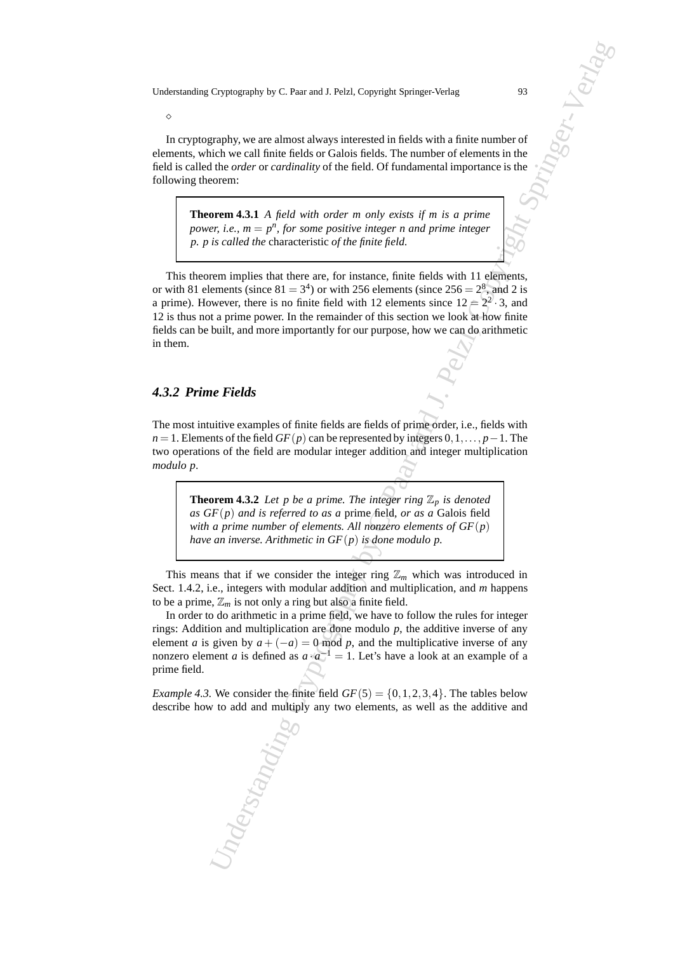In cryptography, we are almost always interested in fields with a finite number of elements, which we call finite fields or Galois fields. The number of elements in the field is called the *order* or *cardinality* of the field. Of fundamental importance is the following theorem:

**Theorem 4.3.1** *A field with order m only exists if m is a prime power, i.e.,*  $m = p^n$ *, for some positive integer n and prime integer p. p is called the* characteristic *of the finite field.*

Cryptography by C. Paar and J. Pelzl, Copyright Springer-Verlag<br>
graphy, we are almost absorption interested in fields with a finite member of<br>
the the call finite fields for Caldo fields. The number of admension is<br>
noti This theorem implies that there are, for instance, finite fields with 11 elements, or with 81 elements (since  $81 = 3<sup>4</sup>$ ) or with 256 elements (since  $256 = 2<sup>8</sup>$ ), and 2 is a prime). However, there is no finite field with 12 elements since  $12 \ge 2^2 \cdot 3$ , and 12 is thus not a prime power. In the remainder of this section we look at how finite fields can be built, and more importantly for our purpose, how we can do arithmetic in them.

#### *4.3.2 Prime Fields*

⋄

The most intuitive examples of finite fields are fields of prime order, i.e., fields with *n* = 1. Elements of the field *GF*(*p*) can be represented by integers 0, 1,..., *p* − 1. The two operations of the field are modular integer addition and integer multiplication *modulo p*.

**Theorem 4.3.2** *Let p be a prime. The integer ring*  $\mathbb{Z}_p$  *is denoted as GF*(*p*) *and is referred to as a* prime field*, or as a* Galois field *with a prime number of elements. All nonzero elements of GF*(*p*) *have an inverse. Arithmetic in GF*(*p*) *is done modulo p.*

This means that if we consider the integer ring  $\mathbb{Z}_m$  which was introduced in Sect. 1.4.2, i.e., integers with modular addition and multiplication, and *m* happens to be a prime,  $\mathbb{Z}_m$  is not only a ring but also a finite field.

In order to do arithmetic in a prime field, we have to follow the rules for integer rings: Addition and multiplication are done modulo *p*, the additive inverse of any element *a* is given by  $a + (-a) = 0 \text{ mod } p$ , and the multiplicative inverse of any nonzero element *a* is defined as  $a \cdot a^{-1} = 1$ . Let's have a look at an example of a prime field.

*Example 4.3.* We consider the finite field  $GF(5) = \{0, 1, 2, 3, 4\}$ . The tables below describe how to add and multiply any two elements, as well as the additive and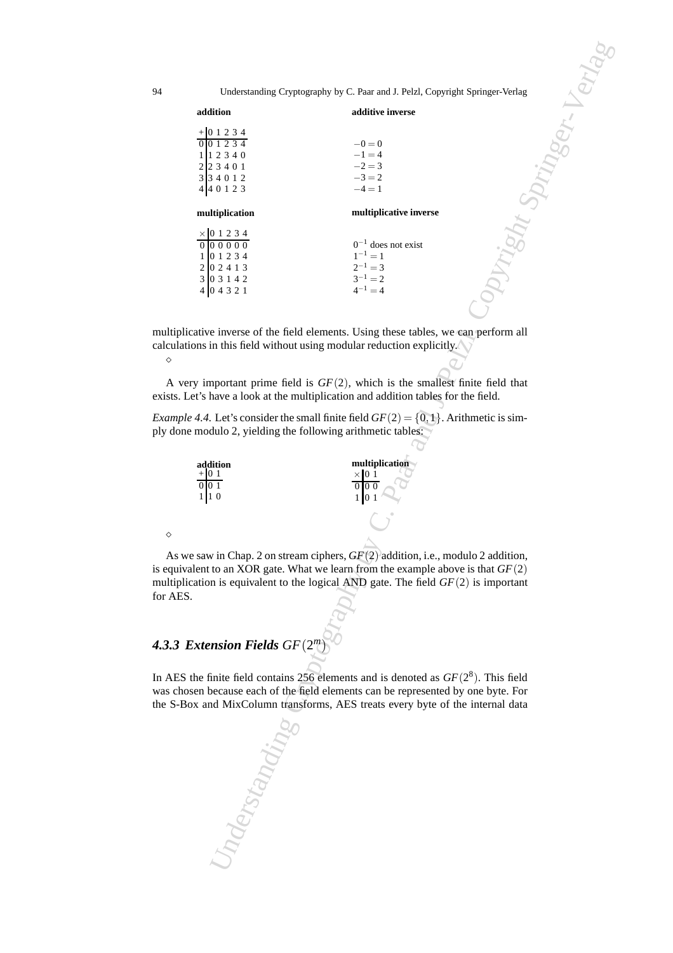|                                                                                                                                                                              | Understanding Cryptography by C. Paar and J. Pelzl, Copyright Springer-Verlag                                                                                                                                                            |  |
|------------------------------------------------------------------------------------------------------------------------------------------------------------------------------|------------------------------------------------------------------------------------------------------------------------------------------------------------------------------------------------------------------------------------------|--|
| addition                                                                                                                                                                     | additive inverse                                                                                                                                                                                                                         |  |
| $+01234$<br>001234<br>$\begin{array}{c cccc}\n1 & 1 & 2 & 3 & 4 & 0 \\ 2 & 2 & 3 & 4 & 0 & 1 \\ 3 & 3 & 4 & 0 & 1 & 2\n\end{array}$<br>440123                                | $-0=0$<br>$-1 = 4$<br>$-2 = 3$<br>$-3 = 2$<br>$-4=1$                                                                                                                                                                                     |  |
| multiplication                                                                                                                                                               | multiplicative inverse                                                                                                                                                                                                                   |  |
| $\begin{array}{c cccc}\n\times & 0 & 1 & 2 & 3 & 4 \\ \hline\n0 & 0 & 0 & 0 & 0 & 0 \\ 1 & 0 & 1 & 2 & 3 & 4 \\ 2 & 0 & 2 & 4 & 1 & 3\n\end{array}$<br>3 0 3 1 4 2<br>404321 | $0^{-1}$ does not exist<br>$1^{-1} = 1$<br>$2^{-1} = 3$<br>$3^{-1} = 2$<br>$4^{-1} = 4$                                                                                                                                                  |  |
| ons in this field without using modular reduction explicitly. $\ell$                                                                                                         | ative inverse of the field elements. Using these tables, we can perform all                                                                                                                                                              |  |
| t's have a look at the multiplication and addition tables for the field.                                                                                                     | y important prime field is $GF(2)$ , which is the smallest finite field that                                                                                                                                                             |  |
| modulo 2, yielding the following arithmetic tables:                                                                                                                          | 4.4. Let's consider the small finite field $GF(2) = \{0, 1\}$ . Arithmetic is sim-                                                                                                                                                       |  |
| addition<br>$+101$<br>1 10                                                                                                                                                   | multiplication<br>$0\ 0\ 0$                                                                                                                                                                                                              |  |
|                                                                                                                                                                              |                                                                                                                                                                                                                                          |  |
|                                                                                                                                                                              | saw in Chap. 2 on stream ciphers, $GF(2)$ addition, i.e., modulo 2 addition,<br>lent to an XOR gate. What we learn from the example above is that $GF(2)$<br>ation is equivalent to the logical AND gate. The field $GF(2)$ is important |  |
| xtension Fields $GF(2^m)$                                                                                                                                                    |                                                                                                                                                                                                                                          |  |
|                                                                                                                                                                              | the finite field contains 256 elements and is denoted as $GF(2^8)$ . This field<br>en because each of the field elements can be represented by one byte. For<br>x and MixColumn transforms, AES treats every byte of the internal data   |  |
| Inderstanding                                                                                                                                                                |                                                                                                                                                                                                                                          |  |

multiplicative inverse of the field elements. Using these tables, we can perform all calculations in this field without using modular reduction explicitly. ⋄

A very important prime field is *GF*(2), which is the smallest finite field that exists. Let's have a look at the multiplication and addition tables for the field.

*Example 4.4.* Let's consider the small finite field  $GF(2) = \{0,1\}$ . Arithmetic is simply done modulo 2, yielding the following arithmetic tables:

| addition | multiplication |
|----------|----------------|
|          |                |
|          |                |

As we saw in Chap. 2 on stream ciphers, *GF*(2) addition, i.e., modulo 2 addition, is equivalent to an XOR gate. What we learn from the example above is that *GF*(2) multiplication is equivalent to the logical AND gate. The field *GF*(2) is important for AES.

# *4.3.3 Extension Fields GF*(2 *m*)

⋄

In AES the finite field contains  $256$  elements and is denoted as  $GF(2<sup>8</sup>)$ . This field was chosen because each of the field elements can be represented by one byte. For the S-Box and MixColumn transforms, AES treats every byte of the internal data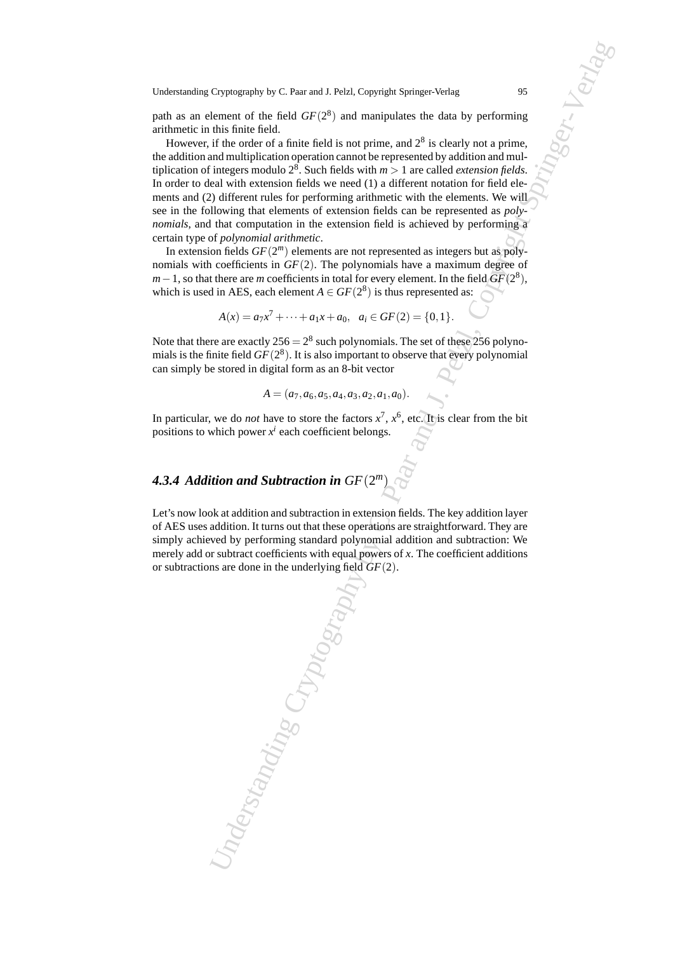path as an element of the field  $GF(2^8)$  and manipulates the data by performing arithmetic in this finite field.

However, if the order of a finite field is not prime, and  $2<sup>8</sup>$  is clearly not a prime, the addition and multiplication operation cannot be represented by addition and multiplication of integers modulo  $2^8$ . Such fields with  $m > 1$  are called *extension fields*. In order to deal with extension fields we need (1) a different notation for field elements and (2) different rules for performing arithmetic with the elements. We will see in the following that elements of extension fields can be represented as *polynomials*, and that computation in the extension field is achieved by performing a certain type of *polynomial arithmetic*.

In extension fields  $GF(2<sup>m</sup>)$  elements are not represented as integers but as polynomials with coefficients in *GF*(2). The polynomials have a maximum degree of  $m-1$ , so that there are *m* coefficients in total for every element. In the field  $\overline{GF}(2^8)$ , which is used in AES, each element  $A \in GF(2^8)$  is thus represented as:

$$
A(x) = a_7x^7 + \dots + a_1x + a_0, \ \ a_i \in GF(2) = \{0, 1\}.
$$

Note that there are exactly  $256 = 2^8$  such polynomials. The set of these 256 polynomials is the finite field  $GF(2^8)$ . It is also important to observe that every polynomial can simply be stored in digital form as an 8-bit vector

$$
A = (a_7, a_6, a_5, a_4, a_3, a_2, a_1, a_0).
$$

In particular, we do *not* have to store the factors  $x^7$ ,  $x^6$ , etc. It is clear from the bit positions to which power  $x^i$  each coefficient belongs.

# *4.3.4 Addition and Subtraction in GF*(2 *m*)

Let's now look at addition and subtraction in extension fields. The key addition layer of AES uses addition. It turns out that these operations are straightforward. They are simply achieved by performing standard polynomial addition and subtraction: We merely add or subtract coefficients with equal powers of *x*. The coefficient additions or subtractions are done in the underlying field *GF*(2).

Cryptography by C. Paar and J. Pelzl, Copyright Springer-Verlag,<br>
Units finite Grid Gr<sup>2</sup>C<sup>2</sup>) and **mainptires** ofte data by performing<br>
this finite Grid C. Units lied to is on prime, and 2 is clearly not a prime.<br>
it is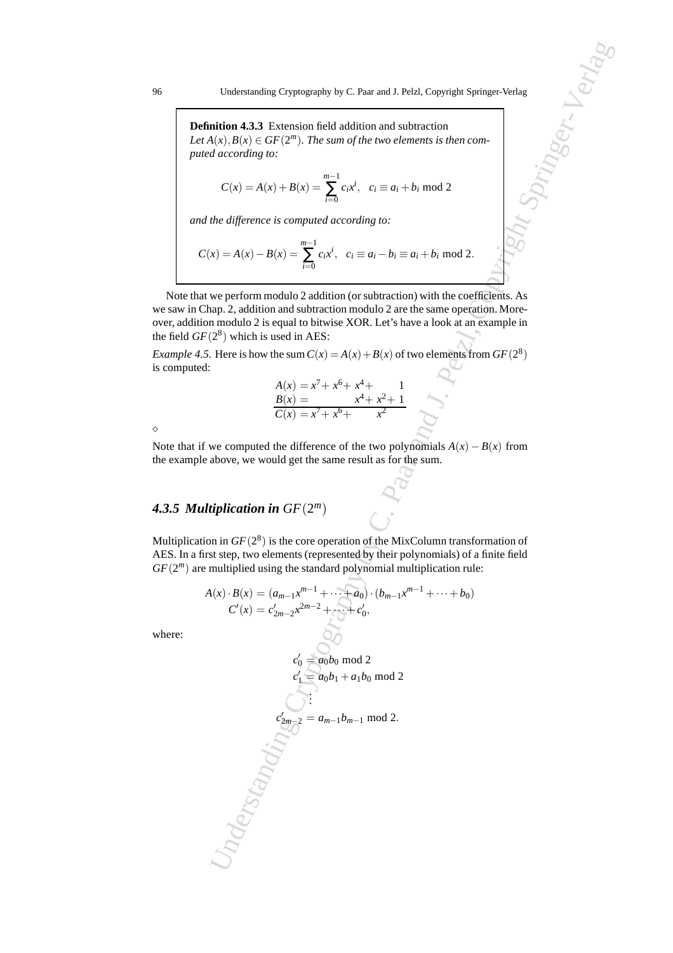**Definition 4.3.3** Extension field addition and subtraction Let  $A(x), B(x) \in GF(2^m)$ . The sum of the two elements is then com*puted according to:*

$$
C(x) = A(x) + B(x) = \sum_{i=0}^{m-1} c_i x^i, \quad c_i \equiv a_i + b_i \mod 2
$$

*and the difference is computed according to:*

$$
C(x) = A(x) - B(x) = \sum_{i=0}^{m-1} c_i x^i, \ \ c_i \equiv a_i - b_i \equiv a_i + b_i \mod 2.
$$

Note that we perform modulo 2 addition (or subtraction) with the coefficients. As we saw in Chap. 2, addition and subtraction modulo 2 are the same operation. Moreover, addition modulo 2 is equal to bitwise XOR. Let's have a look at an example in the field  $GF(2^8)$  which is used in AES:

*Example 4.5.* Here is how the sum  $C(x) = A(x) + B(x)$  of two elements from  $GF(2^8)$ is computed:

$$
A(x) = x7 + x6 + x4 + 1\n B(x) = x7 + x6 + x2 + 1\n C(x) = x7 + x6 + x2
$$

⋄

Note that if we computed the difference of the two polynomials  $A(x) - B(x)$  from the example above, we would get the same result as for the sum.

# *4.3.5 Multiplication in GF*(2 *m*)

Multiplication in  $GF(2^8)$  is the core operation of the MixColumn transformation of AES. In a first step, two elements (represented by their polynomials) of a finite field  $GF(2<sup>m</sup>)$  are multiplied using the standard polynomial multiplication rule:

$$
A(x) \cdot B(x) = (a_{m-1}x^{m-1} + \dots + a_0) \cdot (b_{m-1}x^{m-1} + \dots + b_0)
$$
  
\n
$$
C'(x) = c'_{2m-2}x^{2m-2} + \dots + c'_0,
$$

where:

Understanding Cryptography by C. Para and J. Pelz, Copyright Springer-Verlag

\ninitial (x), B(x) ∈ GF(2<sup>m</sup>). The sum of the two elements is then connected according to:

\nC(x) = A(x) + B(x) = 
$$
\sum_{i=0}^{m-1} c_i x^i
$$
,  $c_i = a_i + b_i \mod 2$ 

\nthe difference is computed according to:

\nx) = A(x) − B(x) =  $\sum_{i=0}^{m-1} c_i x^i$ ,  $c_i = a_i - b_i = a_i + b_i \mod 2$ 

\nwe perform modulo 2 addition (or subtraction) with the coefficients. As a modulo 2 is equal to bitwise XOR. Let's have a look at an example in 2<sup>8</sup>) which is used in AES:

\nHere is how the sum  $C(x) = A(x) + B(x)$  of two elements from  $GF(2^8)$ 

\nA(x) = x<sup>7</sup> + x<sup>6</sup> + x<sup>4</sup> + x<sup>2</sup> + 1

\nB(x) = x<sup>7</sup> + x<sup>6</sup> + x<sup>4</sup> + x<sup>2</sup> + 1

\nwe computed the difference of the two polynomials A(x) − B(x) from above, we would get the same result as for the sum.

\n**tiplication in** GF(2<sup>m</sup>)

\non in GF(2<sup>m</sup>)

\non in GF(2<sup>m</sup>)

\non in GF(2<sup>m</sup>)

\non in GF(2<sup>m</sup>)

\non in GF(2<sup>m</sup>)

\non if the sum of the MixColumn transformation of the MixColumn transformation of the MixColumn transformation of the MixColumn function.

\nC(x) = c<sup>2</sup><sub>2</sub> m-2<sup>x2m-2</sup> + c<sup>x-1</sup> + c<sup>x-1</sup> + c<sup>0</sup> + c<sup>1</sup> + c<sup>0</sup> + c<sup>1</sup> + c<sup>1</sup> + c<sup>1</sup> + c<sup>1</sup> + c<sup>0</sup> + c<sup>1</sup> + c<sup>1</sup> + c<sup>1</sup> + c<sup>1</sup> + c<sup>1</sup> + c<sup>1</sup> + c<sup>1</sup> + c<sup>1</sup>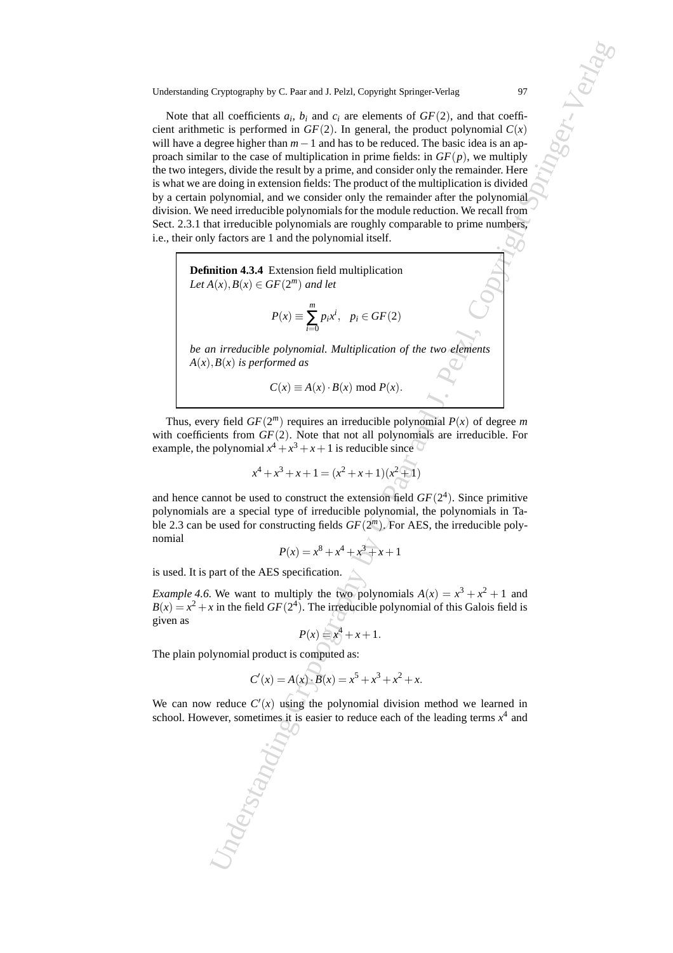Cryptography by C. Paar and J. Pelz Cryptography Springer-Verlag<br>
all coefficients a.o., for all coefficients and coeffice the performance of CP(2). In general, the product polynomial C(2)<br>
eigner-Weight Sharine 1. and ha Note that all coefficients  $a_i$ ,  $b_i$  and  $c_i$  are elements of  $GF(2)$ , and that coefficient arithmetic is performed in  $GF(2)$ . In general, the product polynomial  $C(x)$ will have a degree higher than *m*−1 and has to be reduced. The basic idea is an approach similar to the case of multiplication in prime fields: in  $GF(p)$ , we multiply the two integers, divide the result by a prime, and consider only the remainder. Here is what we are doing in extension fields: The product of the multiplication is divided by a certain polynomial, and we consider only the remainder after the polynomial division. We need irreducible polynomials for the module reduction. We recall from Sect. 2.3.1 that irreducible polynomials are roughly comparable to prime numbers, i.e., their only factors are 1 and the polynomial itself.

**Definition 4.3.4** Extension field multiplication  $Let A(x), B(x) \in GF(2<sup>m</sup>)$  *and let* 

$$
P(x) \equiv \sum_{i=0}^{m} p_i x^i, \ \ p_i \in GF(2)
$$

*be an irreducible polynomial. Multiplication of the two elements*  $A(x)$ *,*  $B(x)$  *is performed as* 

$$
C(x) \equiv A(x) \cdot B(x) \bmod P(x).
$$

Thus, every field  $GF(2^m)$  requires an irreducible polynomial  $P(x)$  of degree m with coefficients from *GF*(2). Note that not all polynomials are irreducible. For example, the polynomial  $x^4 + x^3 + x + 1$  is reducible since

$$
x^{4} + x^{3} + x + 1 = (x^{2} + x + 1)(x^{2} + 1)
$$

and hence cannot be used to construct the extension field  $GF(2<sup>4</sup>)$ . Since primitive polynomials are a special type of irreducible polynomial, the polynomials in Table 2.3 can be used for constructing fields  $GF(2<sup>m</sup>)$ . For AES, the irreducible polynomial

$$
P(x) = x^8 + x^4 + x^3 + x + 1
$$

is used. It is part of the AES specification.

*Example 4.6.* We want to multiply the two polynomials  $A(x) = x^3 + x^2 + 1$  and  $B(x) = x^2 + x$  in the field  $GF(2^4)$ . The irreducible polynomial of this Galois field is given as

$$
P(x) = x^4 + x + 1.
$$

The plain polynomial product is computed as:

$$
C'(x) = A(x) \cdot B(x) = x^5 + x^3 + x^2 + x.
$$

We can now reduce  $C'(x)$  using the polynomial division method we learned in school. However, sometimes it is easier to reduce each of the leading terms  $x<sup>4</sup>$  and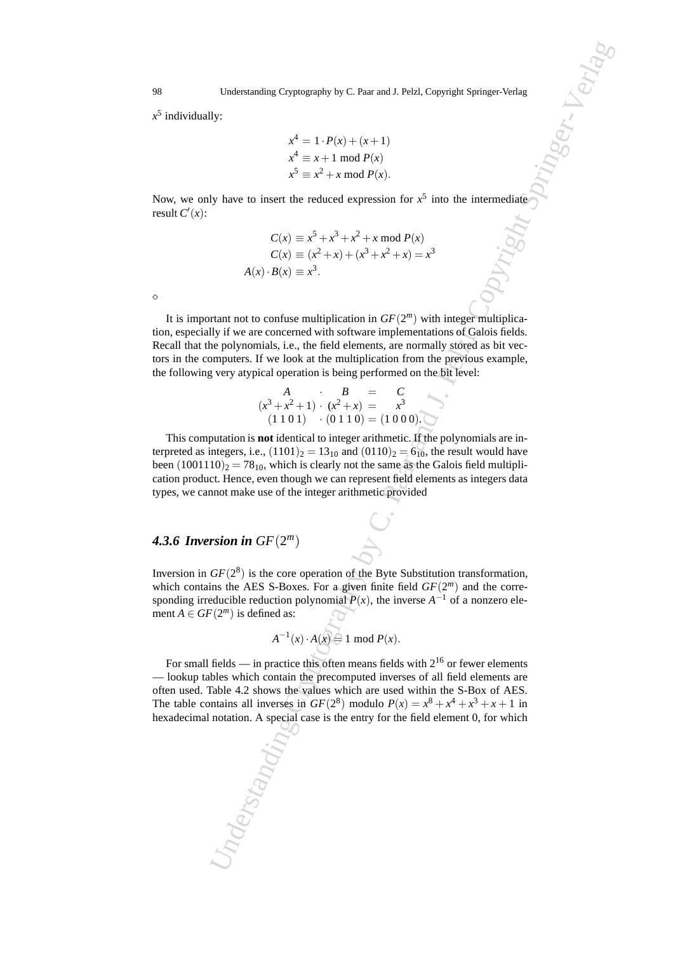*x* 5 individually:

$$
x4 = 1 \cdot P(x) + (x+1)
$$
  
\n
$$
x4 \equiv x+1 \mod P(x)
$$
  
\n
$$
x5 \equiv x2 + x \mod P(x).
$$

Now, we only have to insert the reduced expression for  $x^5$  into the intermediate result  $C'(x)$ :

$$
C(x) \equiv x^5 + x^3 + x^2 + x \mod P(x)
$$
  
\n
$$
C(x) \equiv (x^2 + x) + (x^3 + x^2 + x) = x^3
$$
  
\n
$$
A(x) \cdot B(x) \equiv x^3.
$$

⋄

It is important not to confuse multiplication in *GF*(2 *<sup>m</sup>*) with integer multiplication, especially if we are concerned with software implementations of Galois fields. Recall that the polynomials, i.e., the field elements, are normally stored as bit vectors in the computers. If we look at the multiplication from the previous example, the following very atypical operation is being performed on the bit level:

$$
A \t B = C
$$
  
\n
$$
(x^3 + x^2 + 1) \cdot (x^2 + x) = x^3
$$
  
\n
$$
(1\ 1\ 0\ 1) \cdot (0\ 1\ 1\ 0) = (1\ 0\ 0\ 0).
$$

This computation is **not** identical to integer arithmetic. If the polynomials are interpreted as integers, i.e.,  $(1101)_2 = 13_{10}$  and  $(0110)_2 = 6_{10}$ , the result would have been  $(1001110)_2 = 78_{10}$ , which is clearly not the same as the Galois field multiplication product. Hence, even though we can represent field elements as integers data types, we cannot make use of the integer arithmetic provided

# **4.3.6 Inversion in**  $GF(2^m)$

Inversion in  $GF(2^8)$  is the core operation of the Byte Substitution transformation, which contains the AES S-Boxes. For a given finite field  $GF(2<sup>m</sup>)$  and the corresponding irreducible reduction polynomial  $P(x)$ , the inverse  $A^{-1}$  of a nonzero element  $A \in GF(2^m)$  is defined as:

$$
A^{-1}(x) \cdot A(x) = 1 \mod P(x).
$$

Understanding Cryptography by C. Paar and J. Pelzl, Copyright Springer-Verlag<br>
Up:<br>  $x^4 = 1 \cdot F(x) + (x + 1)$ <br>  $x^3 \equiv x^3 + \text{mod } F(x)$ <br>  $x^5 \equiv x^5 + \text{mod } F(x)$ <br>
(U) here to insect the reduced expression for  $x^5$  into the intermedials For small fields — in practice this often means fields with  $2^{16}$  or fewer elements — lookup tables which contain the precomputed inverses of all field elements are often used. Table 4.2 shows the values which are used within the S-Box of AES. The table contains all inverses in *GF*(2<sup>8</sup>) modulo  $P(x) = x^8 + x^4 + x^3 + x + 1$  in hexadecimal notation. A special case is the entry for the field element 0, for which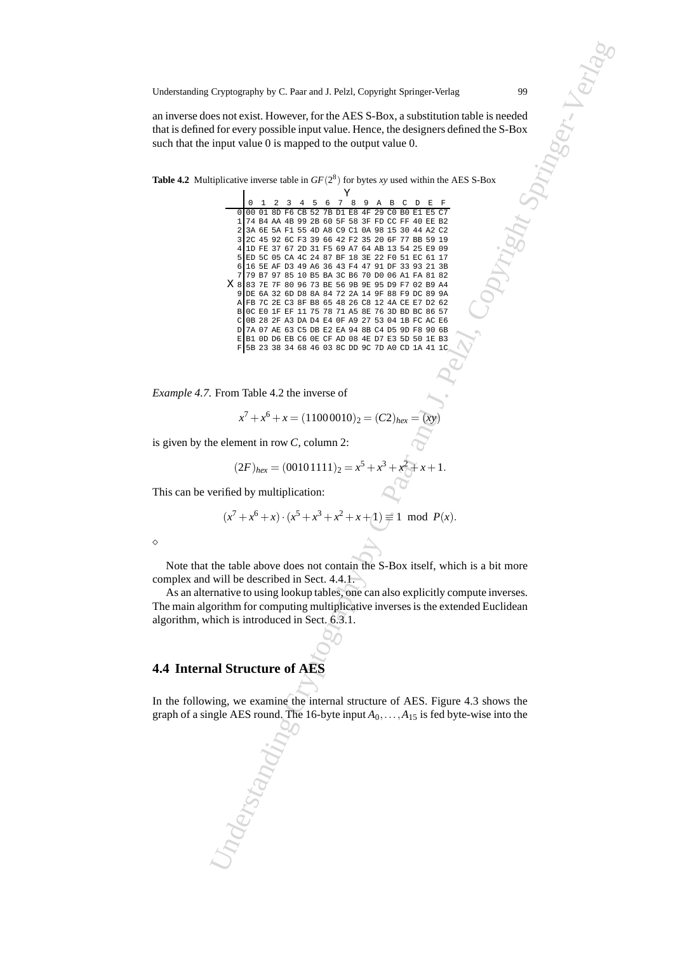an inverse does not exist. However, for the AES S-Box, a substitution table is needed that is defined for every possible input value. Hence, the designers defined the S-Box such that the input value 0 is mapped to the output value 0.

**Table 4.2** Multiplicative inverse table in  $GF(2^8)$  for bytes *xy* used within the AES S-Box

*Example 4.7.* From Table 4.2 the inverse of

$$
x^{7} + x^{6} + x = (11000010)_{2} = (C2)_{hex} = (xy)
$$

is given by the element in row *C*, column 2:

$$
(2F)_{hex} = (00101111)_2 = x^5 + x^3 + x^2 + x + 1.
$$

This can be verified by multiplication:

$$
(x^7 + x^6 + x) \cdot (x^5 + x^3 + x^2 + x + 1) \equiv 1 \mod P(x).
$$

⋄

Note that the table above does not contain the S-Box itself, which is a bit more complex and will be described in Sect. 4.4.1.

As an alternative to using lookup tables, one can also explicitly compute inverses. The main algorithm for computing multiplicative inverses is the extended Euclidean algorithm, which is introduced in Sect. 6.3.1.

### **4.4 Internal Structure of AES**

In the following, we examine the internal structure of AES. Figure 4.3 shows the graph of a single AES round. The 16-byte input  $A_0$ , ...,  $A_{15}$  is fed byte-wise into the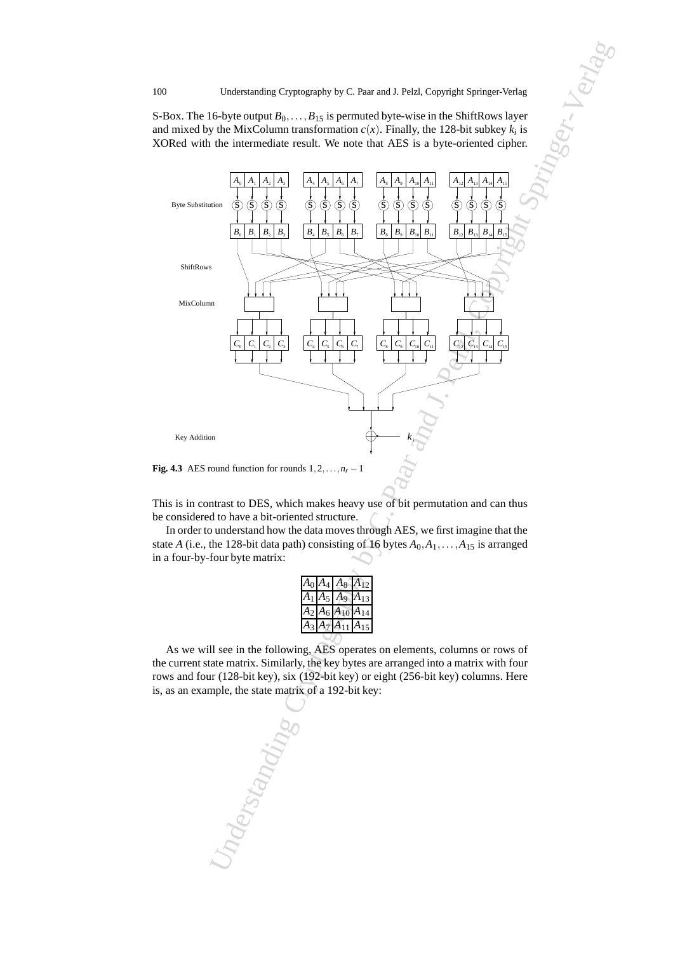S-Box. The 16-byte output  $B_0$ , ...,  $B_{15}$  is permuted byte-wise in the ShiftRows layer and mixed by the MixColumn transformation  $c(x)$ . Finally, the 128-bit subkey  $k_i$  is XORed with the intermediate result. We note that AES is a byte-oriented cipher.



**Fig. 4.3** AES round function for rounds  $1, 2, \ldots, n_r - 1$ 

This is in contrast to DES, which makes heavy use of bit permutation and can thus be considered to have a bit-oriented structure.

In order to understand how the data moves through AES, we first imagine that the state *A* (i.e., the 128-bit data path) consisting of 16 bytes  $A_0, A_1, \ldots, A_{15}$  is arranged in a four-by-four byte matrix:

| Aο |                     | $A_4 \, A_8$     |                  |
|----|---------------------|------------------|------------------|
|    | $\mathsf{l}_5$<br>Ą | $\overline{A_9}$ |                  |
|    | $A_6$               | $A_{10}$         | $\boldsymbol{A}$ |
|    |                     | $A_{11}$         | $\boldsymbol{A}$ |

As we will see in the following, AES operates on elements, columns or rows of the current state matrix. Similarly, the key bytes are arranged into a matrix with four rows and four (128-bit key), six (192-bit key) or eight (256-bit key) columns. Here is, as an example, the state matrix of a 192-bit key: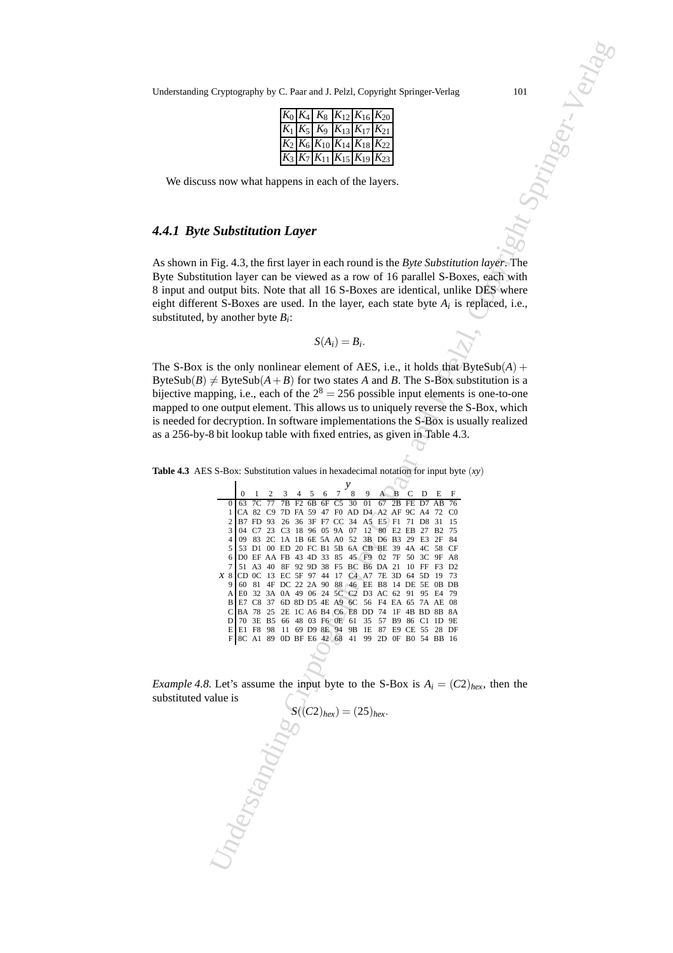Understanding Cryptography by C. Paar and J. Pelzl, Copyright Springer-Verlag 101

|  |  | $K_0 K_4 K_8 K_{12} K_{16} K_{20} $    |
|--|--|----------------------------------------|
|  |  | $K_1 K_5 K_9 K_{13} K_{17} K_{21} $    |
|  |  | $K_2 K_6 K_{10} K_{14} K_{18} K_{22} $ |
|  |  | $K_3 K_7 K_{11} K_{15} K_{19} K_{23}$  |

We discuss now what happens in each of the layers.

# *4.4.1 Byte Substitution Layer*

As shown in Fig. 4.3, the first layer in each round is the *Byte Substitution layer*. The Byte Substitution layer can be viewed as a row of 16 parallel S-Boxes, each with 8 input and output bits. Note that all 16 S-Boxes are identical, unlike DES where eight different S-Boxes are used. In the layer, each state byte *A<sup>i</sup>* is replaced, i.e., substituted, by another byte *B<sup>i</sup>* :

$$
S(A_i)=B_i.
$$

The S-Box is the only nonlinear element of AES, i.e., it holds that  $B$ yteSub(A) + ByteSub(*B*)  $\neq$  ByteSub(*A* + *B*) for two states *A* and *B*. The S-Box substitution is a bijective mapping, i.e., each of the  $2^8 = 256$  possible input elements is one-to-one mapped to one output element. This allows us to uniquely reverse the S-Box, which is needed for decryption. In software implementations the S-Box is usually realized as a 256-by-8 bit lookup table with fixed entries, as given in Table 4.3.

**Table 4.3** AES S-Box: Substitution values in hexadecimal notation for input byte  $(xy)$ 

| 101<br>Cryptography by C. Paar and J. Pelzl, Copyright Springer-Verlag                                                                                                                                                                                                                                                                                                                                                                                                                                                                                                                                                                                                                                                                                                                                                                                                                                                                                                                                                                                                                        |  |
|-----------------------------------------------------------------------------------------------------------------------------------------------------------------------------------------------------------------------------------------------------------------------------------------------------------------------------------------------------------------------------------------------------------------------------------------------------------------------------------------------------------------------------------------------------------------------------------------------------------------------------------------------------------------------------------------------------------------------------------------------------------------------------------------------------------------------------------------------------------------------------------------------------------------------------------------------------------------------------------------------------------------------------------------------------------------------------------------------|--|
| <b>JSCT. VET!</b><br>$K_{20}$<br>$K_8$<br>$K_{12}$<br>$K_{16}$<br>$K_9$ $K_{13}$ $K_{17}$ $K_{21}$<br>$K_5$<br>$K_6 K_{10} K_{14} K_{18} K_{22}$<br>$K_{11}$ $K_{15}$ $K_{19}$ $K_{23}$<br>ss now what happens in each of the layers.                                                                                                                                                                                                                                                                                                                                                                                                                                                                                                                                                                                                                                                                                                                                                                                                                                                         |  |
| <b>Substitution Layer</b>                                                                                                                                                                                                                                                                                                                                                                                                                                                                                                                                                                                                                                                                                                                                                                                                                                                                                                                                                                                                                                                                     |  |
| Fig. 4.3, the first layer in each round is the Byte Substitution layer. The<br>ution layer can be viewed as a row of 16 parallel S-Boxes, each with<br>output bits. Note that all 16 S-Boxes are identical, unlike DES where<br>nt S-Boxes are used. In the layer, each state byte $A_i$ is replaced, i.e.,<br>by another byte $B_i$ :                                                                                                                                                                                                                                                                                                                                                                                                                                                                                                                                                                                                                                                                                                                                                        |  |
| $S(A_i) = B_i.$                                                                                                                                                                                                                                                                                                                                                                                                                                                                                                                                                                                                                                                                                                                                                                                                                                                                                                                                                                                                                                                                               |  |
| is the only nonlinear element of AES, i.e., it holds that $B$ yteSub $(A)$ +<br>$\neq$ ByteSub( $A + B$ ) for two states A and B. The S-Box substitution is a<br>pping, i.e., each of the $2^8 = 256$ possible input elements is one-to-one<br>ne output element. This allows us to uniquely reverse the S-Box, which<br>decryption. In software implementations the S-Box is usually realized<br>8 bit lookup table with fixed entries, as given in Table 4.3.                                                                                                                                                                                                                                                                                                                                                                                                                                                                                                                                                                                                                               |  |
| $S$ S-Box: Substitution values in hexadecimal notation for input byte $(xy)$<br>у<br>8<br>F<br>6<br>D<br>7C 77<br>7B F2 6B 6F C5<br>30<br>01<br>67<br>2B<br>FE D7<br>76<br>AВ<br>CA 82 C9 7D FA 59 47 F0 AD D4 A2 AF 9C A4 72 C0<br>2 B7 FD 93 26 36 3F F7 CC 34 A5 E5 F1 71 D8 31 15<br>$\mathbf{3}$<br>04 C7 23 C3 18 96 05 9A 07 12 80 E2 EB 27 B2 75<br>4 <sup>1</sup><br>09 83 2C 1A 1B 6E 5A A0 52 3B D6 B3 29 E3 2F 84<br>5 I<br>53 D1 00 ED 20 FC B1 5B 6A CB BE 39 4A 4C 58 CF<br>DO EF AA FB 43 4D 33 85 45 F9 02 7F 50 3C 9F A8<br>6<br>51 A3 40 8F 92 9D 38 F5 BC B6 DA 21 10 FF F3 D2<br>$x_8$<br>CD 0C 13 EC 5F 97 44 17 C4 A7 7E 3D 64 5D 19 73<br>60 81 4F DC 22 2A 90 88 46 EE B8 14 DE 5E 0B DB<br>91<br>E0 32 3A 0A 49 06 24 5C C2 D3 AC 62 91 95 E4 79<br>A<br>E7 C8 37 6D 8D D5 4E A9 6C 56 F4 EA 65 7A AE 08<br><sub>B</sub><br>BA 78 25 2E 1C A6 B4 C6 E8 DD 74 1F 4B BD 8B 8A<br>$\mathbf{C}$<br>70 3E B5 66 48 03 F6 0E 61<br>35 57 B9 86 C1 1D 9E<br>D<br>E1 F8 98 11 69 D9 8E 94 9B 1E 87 E9 CE 55 28 DF<br>E<br>F 8C A1 89 0D BF E6 42 68 41 99 2D 0F B0 54 BB 16 |  |
| Let's assume the input byte to the S-Box is $A_i = (C2)_{hex}$ , then the                                                                                                                                                                                                                                                                                                                                                                                                                                                                                                                                                                                                                                                                                                                                                                                                                                                                                                                                                                                                                     |  |
|                                                                                                                                                                                                                                                                                                                                                                                                                                                                                                                                                                                                                                                                                                                                                                                                                                                                                                                                                                                                                                                                                               |  |

*Example 4.8.* Let's assume the input byte to the S-Box is  $A_i = (C2)_{hex}$ , then the substituted value is

$$
S((C2)_{hex})=(25)_{hex}.
$$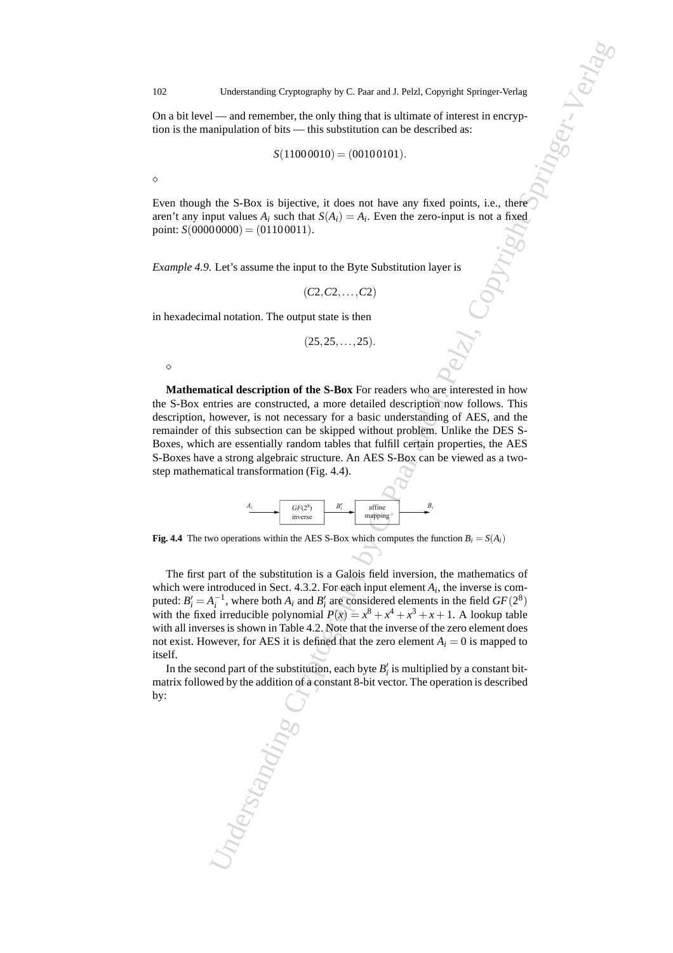On a bit level — and remember, the only thing that is ultimate of interest in encryption is the manipulation of bits — this substitution can be described as:

$$
S(11000010) = (00100101).
$$

⋄

Even though the S-Box is bijective, it does not have any fixed points, i.e., there aren't any input values  $A_i$  such that  $S(A_i) = A_i$ . Even the zero-input is not a fixed point:  $S(00000000) = (01100011)$ .

*Example 4.9.* Let's assume the input to the Byte Substitution layer is

$$
(C2, C2, \ldots, C2)
$$

in hexadecimal notation. The output state is then

$$
(25, 25, \ldots, 25)
$$
.

⋄

Understanding Cryptography by C. Paar and J. Pelzl, Copyright Springer-Verlag<br>
1—and crancellot, the calib thing that is titled<br>
15. The case of this case of this case of the case of the case of the case of the<br>
5. Second **Mathematical description of the S-Box** For readers who are interested in how the S-Box entries are constructed, a more detailed description now follows. This description, however, is not necessary for a basic understanding of AES, and the remainder of this subsection can be skipped without problem. Unlike the DES S-Boxes, which are essentially random tables that fulfill certain properties, the AES S-Boxes have a strong algebraic structure. An AES S-Box can be viewed as a twostep mathematical transformation (Fig. 4.4).



**Fig. 4.4** The two operations within the AES S-Box which computes the function  $B_i = S(A_i)$ 

The first part of the substitution is a Galois field inversion, the mathematics of which were introduced in Sect. 4.3.2. For each input element  $A_i$ , the inverse is computed:  $B_i' = A_i^{-1}$ , where both  $A_i$  and  $B_i'$  are considered elements in the field  $GF(2^8)$ with the fixed irreducible polynomial  $P(x) = x^8 + x^4 + x^3 + x + 1$ . A lookup table with all inverses is shown in Table 4.2. Note that the inverse of the zero element does not exist. However, for AES it is defined that the zero element  $A_i = 0$  is mapped to itself.

In the second part of the substitution, each byte  $B_i'$  is multiplied by a constant bitmatrix followed by the addition of a constant 8-bit vector. The operation is described by: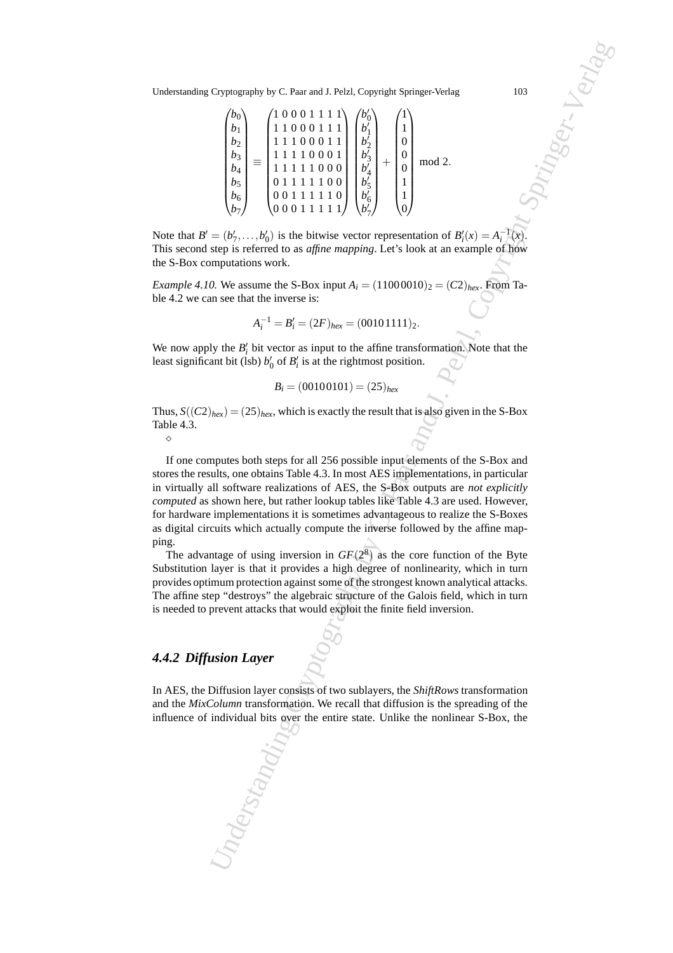$$
\begin{pmatrix} b_0 \\ b_1 \\ b_2 \\ b_3 \\ b_4 \\ b_5 \\ b_6 \\ b_7 \end{pmatrix} \equiv \begin{pmatrix} 1 & 0 & 0 & 0 & 1 & 1 & 1 & 1 \\ 1 & 1 & 0 & 0 & 0 & 1 & 1 & 1 \\ 1 & 1 & 1 & 0 & 0 & 0 & 1 & 1 \\ 1 & 1 & 1 & 1 & 0 & 0 & 0 & 1 \\ 1 & 1 & 1 & 1 & 1 & 0 & 0 & 0 \\ 0 & 1 & 1 & 1 & 1 & 1 & 0 & 0 \\ 0 & 0 & 1 & 1 & 1 & 1 & 1 & 0 \end{pmatrix} \begin{pmatrix} b'_0 \\ b'_1 \\ b'_2 \\ b'_3 \\ b'_4 \\ b'_5 \\ b'_6 \\ b'_7 \end{pmatrix} + \begin{pmatrix} 1 \\ 1 \\ 0 \\ 0 \\ 1 \\ 1 \\ 0 \end{pmatrix} \mod 2.
$$

Note that  $B' = (b'_1, \ldots, b'_0)$  is the bitwise vector representation of  $B'_i(x) = A_i^{-1}(x)$ . This second step is referred to as *affine mapping*. Let's look at an example of how the S-Box computations work.

*Example 4.10.* We assume the S-Box input  $A_i = (11000010)_2 = (C2)_{hex}$ . From Table 4.2 we can see that the inverse is:

$$
A_i^{-1} = B_i' = (2F)_{hex} = (00101111)_2.
$$

We now apply the  $B'_i$  bit vector as input to the affine transformation. Note that the least significant bit (lsb)  $b'_0$  of  $B'_i$  is at the rightmost position.

$$
B_i = (00100101) = (25)_{hex}
$$

Thus,  $S((C2)_{hex}) = (25)_{hex}$ , which is exactly the result that is also given in the S-Box Table 4.3.

 $\Diamond$ 

Cryptography by C. Paar and J. Pelzl, Copyright Springer-Verlag<br>
(A)<br>  $\begin{pmatrix}\n\lambda_1 \\
\lambda_2 \\
\lambda_3 \\
\lambda_4 \\
\lambda_5\n\end{pmatrix} = \begin{pmatrix}\n100001111 \\
111000011 \\
111100011 \\
111100011 \\
111100011 \\
\lambda_6 \\
\lambda_7\n\end{pmatrix} = \begin{pmatrix}\n1 \\
1 \\
1 \\
1 \\
1 \\
1 \\
1 \\
1 \\
1 \\
1 \\
1 \\
1\n\end{pmatrix}$ If one computes both steps for all 256 possible input elements of the S-Box and stores the results, one obtains Table 4.3. In most AES implementations, in particular in virtually all software realizations of AES, the S-Box outputs are *not explicitly computed* as shown here, but rather lookup tables like Table 4.3 are used. However, for hardware implementations it is sometimes advantageous to realize the S-Boxes as digital circuits which actually compute the inverse followed by the affine mapping.

The advantage of using inversion in  $GF(2^8)$  as the core function of the Byte Substitution layer is that it provides a high degree of nonlinearity, which in turn provides optimum protection against some of the strongest known analytical attacks. The affine step "destroys" the algebraic structure of the Galois field, which in turn is needed to prevent attacks that would exploit the finite field inversion.

# *4.4.2 Diffusion Layer*

In AES, the Diffusion layer consists of two sublayers, the *ShiftRows* transformation and the *MixColumn* transformation. We recall that diffusion is the spreading of the influence of individual bits over the entire state. Unlike the nonlinear S-Box, the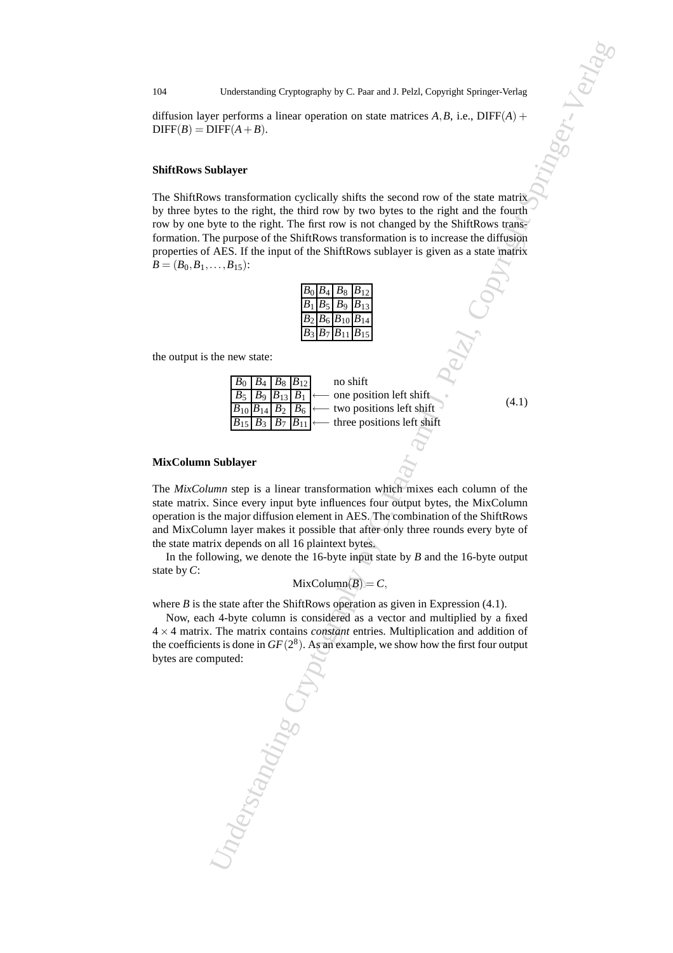diffusion layer performs a linear operation on state matrices  $A, B$ , i.e.,  $DIFF(A)$  +  $DIFF(B) = DIFF(A + B).$ 

#### **ShiftRows Sublayer**

Understanding Cryptography by C. Paar and J. Pelzl, Copyright Springer-Verlag<br>
or profesoran a linear operation on state matrices A.B. i.e., DIFF(A) +<br>
UIF(A) = B)<br>
UIF(A) = B)<br>
such that individues the right of the first The ShiftRows transformation cyclically shifts the second row of the state matrix by three bytes to the right, the third row by two bytes to the right and the fourth row by one byte to the right. The first row is not changed by the ShiftRows transformation. The purpose of the ShiftRows transformation is to increase the diffusion properties of AES. If the input of the ShiftRows sublayer is given as a state matrix  $B = (B_0, B_1, \ldots, B_{15})$ :

|  | $B_0$ $B_4$ $B_8$ $B_{12}$                                                |          |
|--|---------------------------------------------------------------------------|----------|
|  | $B_1$ $B_5$ $B_9$                                                         | $B_{13}$ |
|  | $\overline{B_2 B_6 }B_{10} B_{14}$                                        |          |
|  | $\overline{B_3} \,\overline{B_7} \,\overline{B_{11}} \,\overline{B_{15}}$ |          |

the output is the new state:

| $B_0$ $B_4$ $B_8$ $B_{12}$ |  | no shift                                                                                 |
|----------------------------|--|------------------------------------------------------------------------------------------|
|                            |  | $\boxed{B_5 \mid B_9 \mid B_{13} \mid B_1 \mid \longleftarrow}$ one position left shift. |
|                            |  | $B_{10}B_{14}B_2B_6$ $\longleftarrow$ two positions left shift                           |
|                            |  | $B_{15}$ $B_3$ $B_7$ $B_{11}$ $\longleftarrow$ three positions left shift                |

(4.1)

#### **MixColumn Sublayer**

The *MixColumn* step is a linear transformation which mixes each column of the state matrix. Since every input byte influences four output bytes, the MixColumn operation is the major diffusion element in AES. The combination of the ShiftRows and MixColumn layer makes it possible that after only three rounds every byte of the state matrix depends on all 16 plaintext bytes.

In the following, we denote the 16-byte input state by *B* and the 16-byte output state by *C*:

$$
MixColumn(B) = C,
$$

where  $B$  is the state after the ShiftRows operation as given in Expression  $(4.1)$ .

Now, each 4-byte column is considered as a vector and multiplied by a fixed 4 × 4 matrix. The matrix contains *constant* entries. Multiplication and addition of the coefficients is done in  $GF(2^8)$ . As an example, we show how the first four output bytes are computed: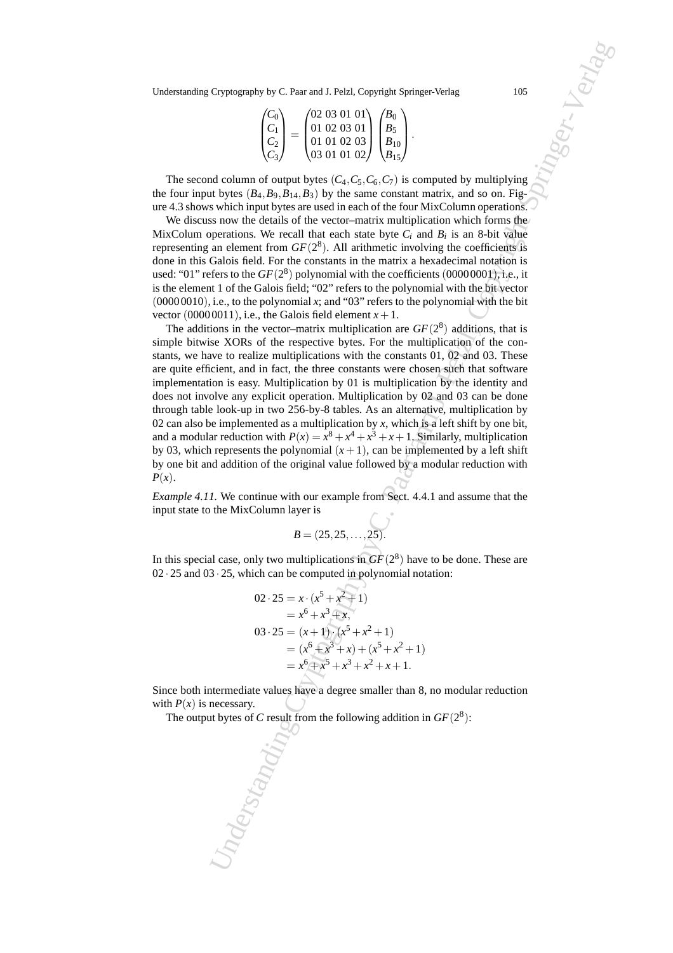| $\langle C_0 \rangle$ | (02 03 01 01) | /B <sub>0</sub> |  |
|-----------------------|---------------|-----------------|--|
|                       | 01 02 03 01   |                 |  |
| $C_2$                 | 01010203      |                 |  |
|                       | (03010102)    |                 |  |

The second column of output bytes  $(C_4, C_5, C_6, C_7)$  is computed by multiplying the four input bytes  $(B_4, B_9, B_{14}, B_3)$  by the same constant matrix, and so on. Figure 4.3 shows which input bytes are used in each of the four MixColumn operations.

We discuss now the details of the vector–matrix multiplication which forms the MixColum operations. We recall that each state byte  $C_i$  and  $B_i$  is an 8-bit value representing an element from  $GF(2^8)$ . All arithmetic involving the coefficients is done in this Galois field. For the constants in the matrix a hexadecimal notation is used: "01" refers to the  $GF(2^8)$  polynomial with the coefficients (00000001), i.e., it is the element 1 of the Galois field; "02" refers to the polynomial with the bit vector  $(00000010)$ , i.e., to the polynomial *x*; and "03" refers to the polynomial with the bit vector (00000011), i.e., the Galois field element  $x + 1$ .

Cryptography by C. Paar and J. Pelzl, Copyright Springer-Verlag,<br>  $\begin{pmatrix}\nC_1 \\
C_2\n\end{pmatrix} = \begin{pmatrix}\n0.1102.015 & 0.1101 & 0.165 \\
0.1102.015 & 0.165 \\
C_2\n\end{pmatrix} = \begin{pmatrix}\n0.1102.015 & 0.1101 & 0.165 \\
0.1102.015 & 0.165 \\
0.1010 & 0.165\n\end{pmatrix$ The additions in the vector–matrix multiplication are  $GF(2^8)$  additions, that is simple bitwise XORs of the respective bytes. For the multiplication of the constants, we have to realize multiplications with the constants 01, 02 and 03. These are quite efficient, and in fact, the three constants were chosen such that software implementation is easy. Multiplication by 01 is multiplication by the identity and does not involve any explicit operation. Multiplication by 02 and 03 can be done through table look-up in two 256-by-8 tables. As an alternative, multiplication by 02 can also be implemented as a multiplication by  $x$ , which is a left shift by one bit, and a modular reduction with  $P(x) = x^8 + x^4 + x^3 + x + 1$ . Similarly, multiplication by 03, which represents the polynomial  $(x + 1)$ , can be implemented by a left shift by one bit and addition of the original value followed by a modular reduction with *P*(*x*).

*Example 4.11.* We continue with our example from Sect. 4.4.1 and assume that the input state to the MixColumn layer is

$$
B=(25, 25, \ldots, 25).
$$

In this special case, only two multiplications in  $GF(2<sup>8</sup>)$  have to be done. These are 02 · 25 and 03 · 25, which can be computed in polynomial notation:

$$
02 \cdot 25 = x \cdot (x^5 + x^2 + 1)
$$
  
=  $x^6 + x^3 + x$ ,  

$$
03 \cdot 25 = (x+1) \cdot (x^5 + x^2 + 1)
$$
  
=  $(x^6 + x^3 + x) + (x^5 + x^2 + 1)$   
=  $x^6 + x^5 + x^3 + x^2 + x + 1$ .

Since both intermediate values have a degree smaller than 8, no modular reduction with  $P(x)$  is necessary.

The output bytes of *C* result from the following addition in  $GF(2^8)$ :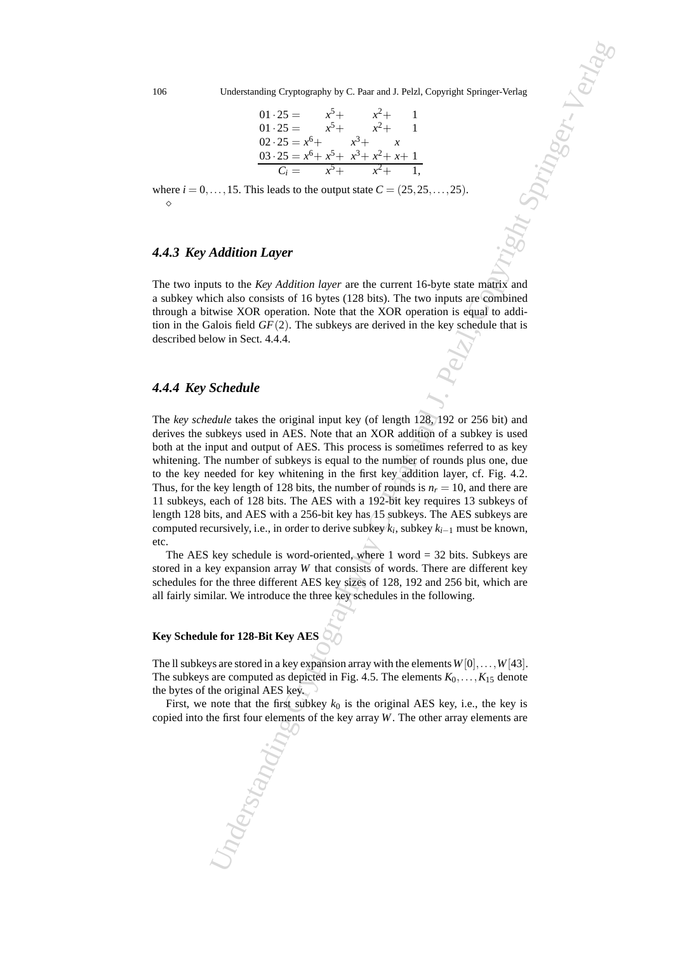$$
01 \cdot 25 = x^{5} + x^{2} + 1
$$
  
\n
$$
01 \cdot 25 = x^{5} + x^{2} + 1
$$
  
\n
$$
02 \cdot 25 = x^{6} + x^{3} + x
$$
  
\n
$$
03 \cdot 25 = x^{6} + x^{5} + x^{3} + x^{2} + x + 1
$$
  
\n
$$
C_{i} = x^{5} + x^{2} + 1,
$$

where  $i = 0, \ldots, 15$ . This leads to the output state  $C = (25, 25, \ldots, 25)$ . ⋄

#### *4.4.3 Key Addition Layer*

The two inputs to the *Key Addition layer* are the current 16-byte state matrix and a subkey which also consists of 16 bytes (128 bits). The two inputs are combined through a bitwise XOR operation. Note that the XOR operation is equal to addition in the Galois field  $GF(2)$ . The subkeys are derived in the key schedule that is described below in Sect. 4.4.4.

#### *4.4.4 Key Schedule*

Understanding Cryptography by C. Paar and J. Pelzl, Copyright Springer-Verlag<br>  $0.1 \ge 5 = \frac{x^2}{x^2 + 2x^2 + 1}$ <br>  $0.2 \ge 5 = x^6 - \frac{x^2}{x^2 + 2x^2 + 2x + 1}$ <br>  $0.2 \ge 5 = x^6 - \frac{x^2}{x^2 + 2x^2 + 2x + 1}$ <br>  $0.3 \ge 5 = x^6 - \frac{x^2}{x^2 + 2x^2 + 2x +$ The *key schedule* takes the original input key (of length 128, 192 or 256 bit) and derives the subkeys used in AES. Note that an XOR addition of a subkey is used both at the input and output of AES. This process is sometimes referred to as key whitening. The number of subkeys is equal to the number of rounds plus one, due to the key needed for key whitening in the first key addition layer, cf. Fig. 4.2. Thus, for the key length of 128 bits, the number of rounds is  $n_r = 10$ , and there are 11 subkeys, each of 128 bits. The AES with a 192-bit key requires 13 subkeys of length 128 bits, and AES with a 256-bit key has 15 subkeys. The AES subkeys are computed recursively, i.e., in order to derive subkey *k<sup>i</sup>* , subkey *ki*−<sup>1</sup> must be known, etc.

The AES key schedule is word-oriented, where  $1$  word  $=$  32 bits. Subkeys are stored in a key expansion array *W* that consists of words. There are different key schedules for the three different AES key sizes of 128, 192 and 256 bit, which are all fairly similar. We introduce the three key schedules in the following.

### **Key Schedule for 128-Bit Key AES**

The II subkeys are stored in a key expansion array with the elements  $W[0], \ldots, W[43]$ . The subkeys are computed as depicted in Fig. 4.5. The elements  $K_0, \ldots, K_{15}$  denote the bytes of the original AES key.

First, we note that the first subkey  $k_0$  is the original AES key, i.e., the key is copied into the first four elements of the key array *W*. The other array elements are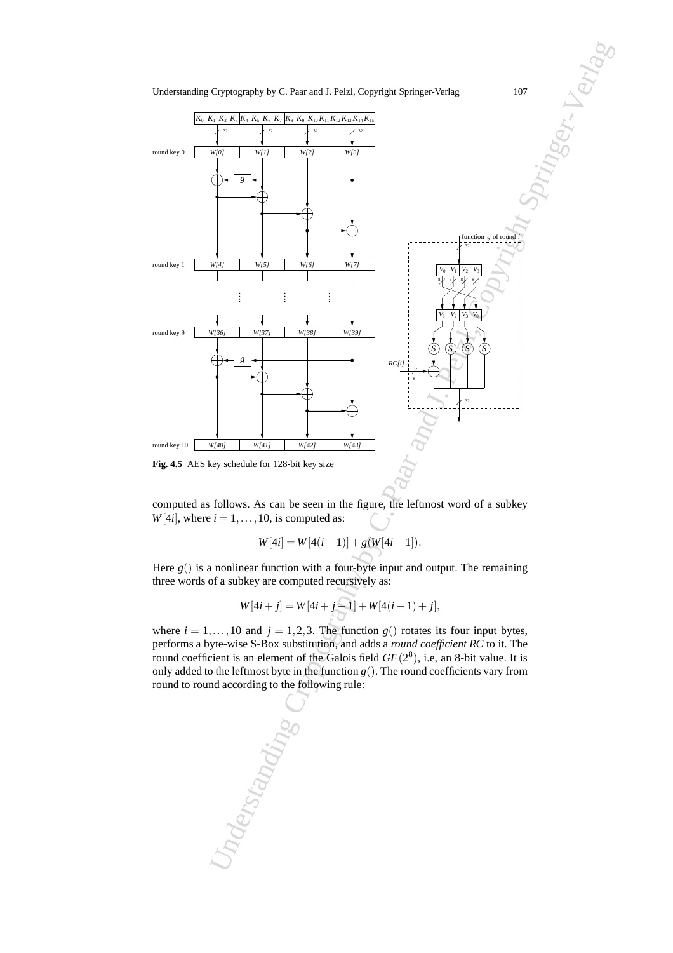



computed as follows. As can be seen in the figure, the leftmost word of a subkey  $W[4i]$ , where  $i = 1, \ldots, 10$ , is computed as:

$$
W[4i] = W[4(i-1)] + g(W[4i-1]).
$$

Here  $g()$  is a nonlinear function with a four-byte input and output. The remaining three words of a subkey are computed recursively as:

$$
W[4i + j] = W[4i + j - 1] + W[4(i - 1) + j],
$$

where  $i = 1, \ldots, 10$  and  $j = 1, 2, 3$ . The function  $g()$  rotates its four input bytes, performs a byte-wise S-Box substitution, and adds a *round coefficient RC* to it. The round coefficient is an element of the Galois field  $GF(2^8)$ , i.e, an 8-bit value. It is only added to the leftmost byte in the function  $g(.)$ . The round coefficients vary from round to round according to the following rule:

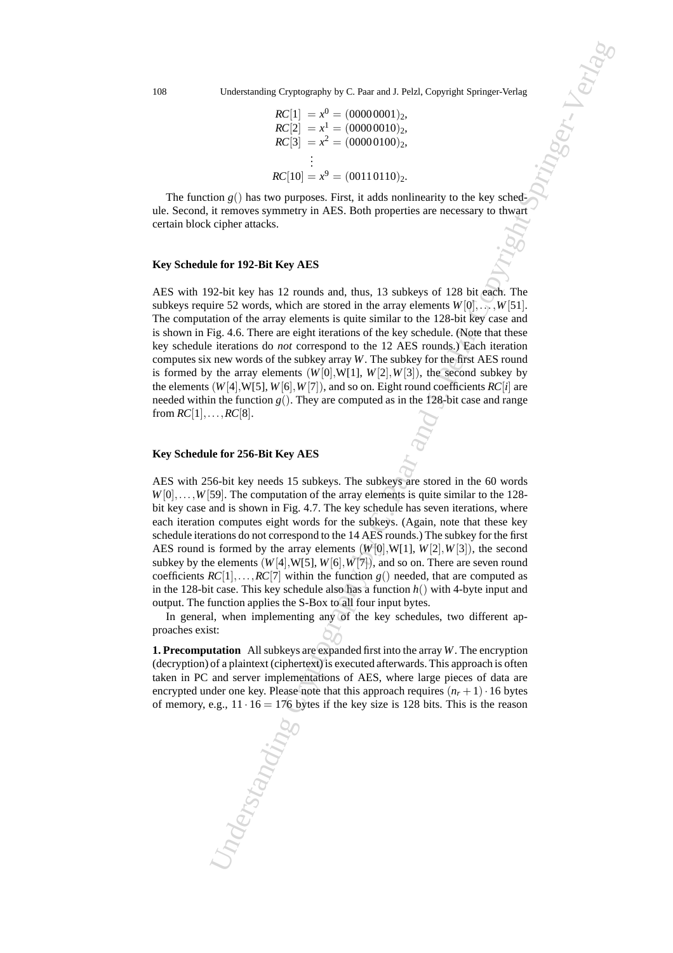$$
RC[1] = x^0 = (00000001)_2,
$$
  
\n
$$
RC[2] = x^1 = (00000010)_2,
$$
  
\n
$$
RC[3] = x^2 = (00000100)_2,
$$
  
\n
$$
\vdots
$$
  
\n
$$
RC[10] = x^9 = (00110110)_2.
$$

The function  $g()$  has two purposes. First, it adds nonlinearity to the key schedule. Second, it removes symmetry in AES. Both properties are necessary to thwart certain block cipher attacks.

#### **Key Schedule for 192-Bit Key AES**

Understanding Cryptography by C. Paar and J. Pelzl, Copyright Springer-Verlag<br>  $RC[2] = \frac{1}{\pi^2} = (0.00000100)$ <sub>2</sub>,<br>  $RC[2] = \frac{1}{\pi^2} = (0.0000100)$ <sub>2</sub>,<br>  $RC[3] = \frac{1}{\pi^2} = (0.0000100)$ <sub>2</sub>,<br>  $RC[3] = \frac{1}{\pi^2} = (0.00001100)$ ,<br>  $RC[$ AES with 192-bit key has 12 rounds and, thus, 13 subkeys of 128 bit each. The subkeys require 52 words, which are stored in the array elements  $W[0], \ldots, W[51]$ . The computation of the array elements is quite similar to the 128-bit key case and is shown in Fig. 4.6. There are eight iterations of the key schedule. (Note that these key schedule iterations do *not* correspond to the 12 AES rounds.) Each iteration computes six new words of the subkey array *W*. The subkey for the first AES round is formed by the array elements  $(W[0], W[1], W[2], W[3])$ , the second subkey by the elements  $(W[4], W[5], W[6], W[7])$ , and so on. Eight round coefficients  $RC[i]$  are needed within the function  $g()$ . They are computed as in the 128-bit case and range from  $RC[1], \ldots, RC[8]$ .

#### **Key Schedule for 256-Bit Key AES**

AES with 256-bit key needs 15 subkeys. The subkeys are stored in the 60 words  $W[0], \ldots, W[59]$ . The computation of the array elements is quite similar to the 128bit key case and is shown in Fig. 4.7. The key schedule has seven iterations, where each iteration computes eight words for the subkeys. (Again, note that these key schedule iterations do not correspond to the 14 AES rounds.) The subkey for the first AES round is formed by the array elements  $(W[0], W[1], W[2], W[3])$ , the second subkey by the elements  $(W[4], W[5], W[6], W[7])$ , and so on. There are seven round coefficients  $RC[1], \ldots, RC[7]$  within the function  $g()$  needed, that are computed as in the 128-bit case. This key schedule also has a function *h*() with 4-byte input and output. The function applies the S-Box to all four input bytes.

In general, when implementing any of the key schedules, two different approaches exist:

**1. Precomputation** All subkeys are expanded first into the array*W*. The encryption (decryption) of a plaintext (ciphertext) is executed afterwards. This approach is often taken in PC and server implementations of AES, where large pieces of data are encrypted under one key. Please note that this approach requires  $(n_r + 1) \cdot 16$  bytes of memory, e.g.,  $11 \cdot 16 = 176$  bytes if the key size is 128 bits. This is the reason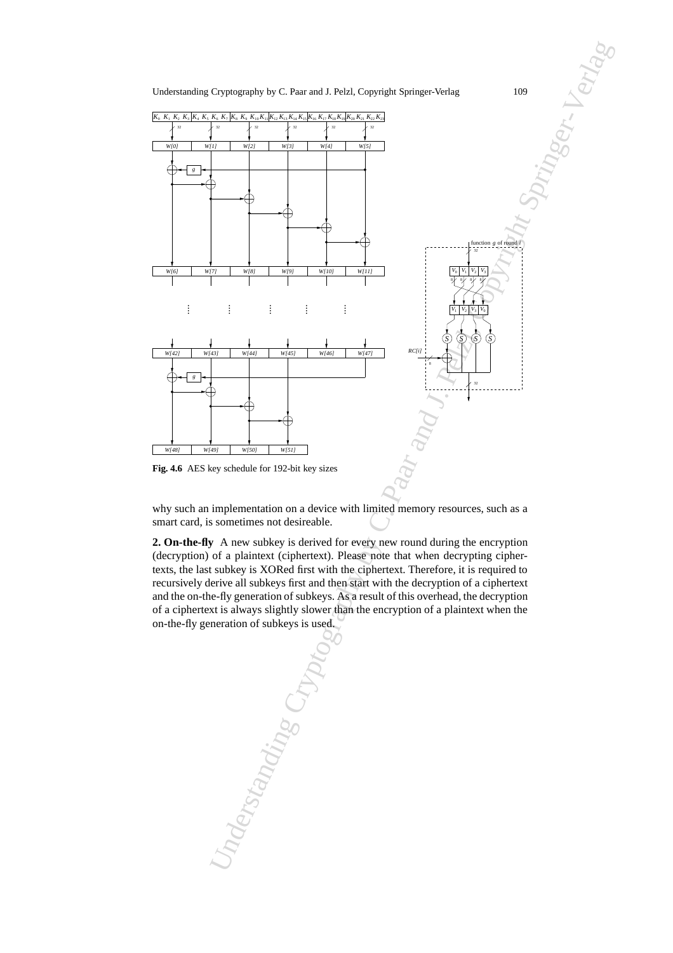



why such an implementation on a device with limited memory resources, such as a smart card, is sometimes not desireable.

**2. On-the-fly** A new subkey is derived for every new round during the encryption (decryption) of a plaintext (ciphertext). Please note that when decrypting ciphertexts, the last subkey is XORed first with the ciphertext. Therefore, it is required to recursively derive all subkeys first and then start with the decryption of a ciphertext and the on-the-fly generation of subkeys. As a result of this overhead, the decryption of a ciphertext is always slightly slower than the encryption of a plaintext when the on-the-fly generation of subkeys is used.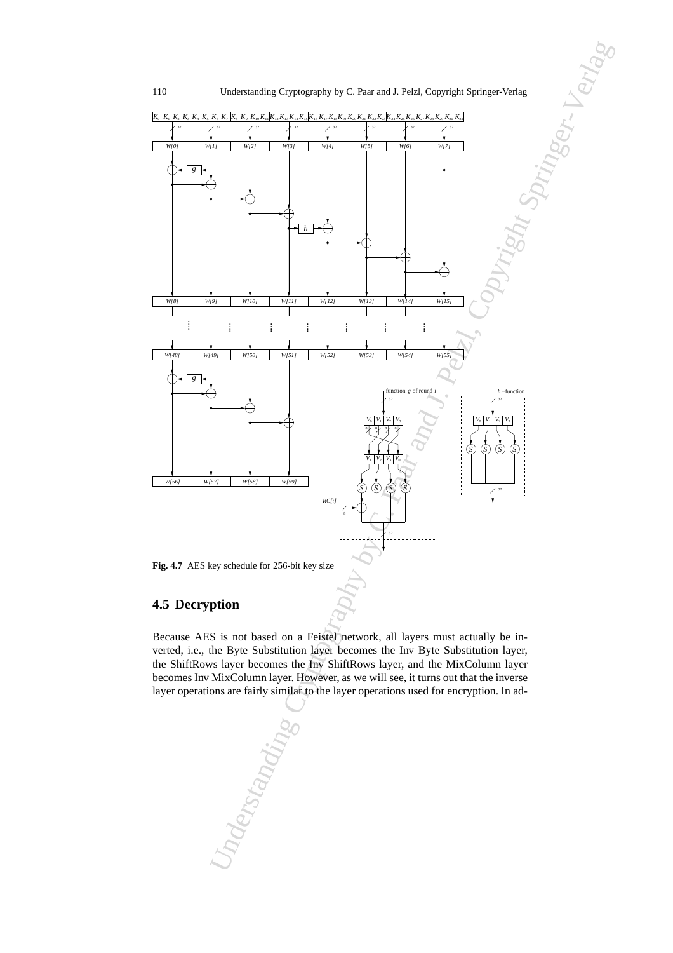

# **4.5 Decryption**

Because AES is not based on a Feistel network, all layers must actually be inverted, i.e., the Byte Substitution layer becomes the Inv Byte Substitution layer, the ShiftRows layer becomes the Inv ShiftRows layer, and the MixColumn layer becomes Inv MixColumn layer. However, as we will see, it turns out that the inverse layer operations are fairly similar to the layer operations used for encryption. In ad-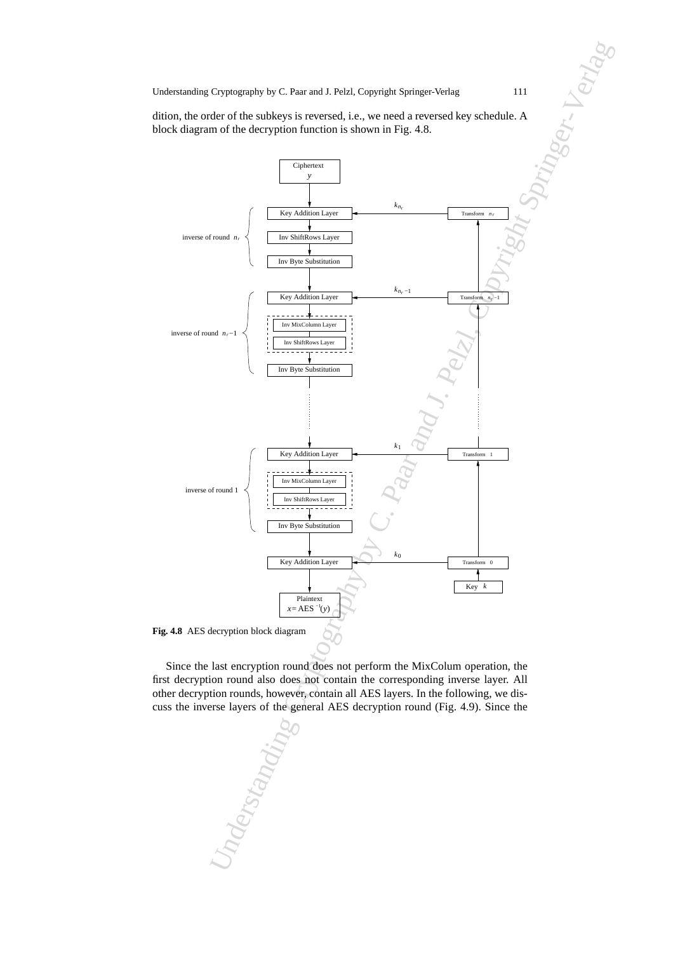dition, the order of the subkeys is reversed, i.e., we need a reversed key schedule. A block diagram of the decryption function is shown in Fig. 4.8.



Since the last encryption round does not perform the MixColum operation, the first decryption round also does not contain the corresponding inverse layer. All other decryption rounds, however, contain all AES layers. In the following, we discuss the inverse layers of the general AES decryption round (Fig. 4.9). Since the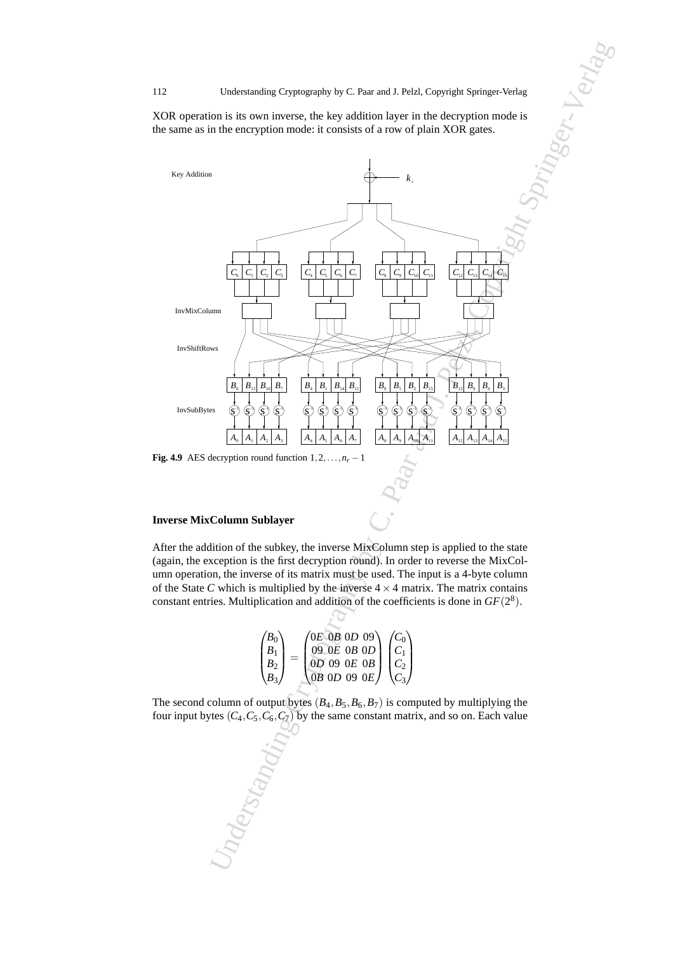XOR operation is its own inverse, the key addition layer in the decryption mode is the same as in the encryption mode: it consists of a row of plain XOR gates.



#### **Inverse MixColumn Sublayer**

After the addition of the subkey, the inverse MixColumn step is applied to the state (again, the exception is the first decryption round). In order to reverse the MixColumn operation, the inverse of its matrix must be used. The input is a 4-byte column of the State *C* which is multiplied by the inverse  $4 \times 4$  matrix. The matrix contains constant entries. Multiplication and addition of the coefficients is done in  $GF(2<sup>8</sup>)$ .

| $\langle B_0 \rangle$ | $\sqrt{0E}$ $0B$ $0D$ $09$                                             |  |
|-----------------------|------------------------------------------------------------------------|--|
| $B_{1}$               | $09$ OE OB OD                                                          |  |
|                       |                                                                        |  |
|                       | $\begin{pmatrix} 0D & 09 & 0E & 0B \\ 0B & 0D & 09 & 0E \end{pmatrix}$ |  |

The second column of output bytes  $(B_4, B_5, B_6, B_7)$  is computed by multiplying the four input bytes  $(C_4, C_5, C_6, C_7)$  by the same constant matrix, and so on. Each value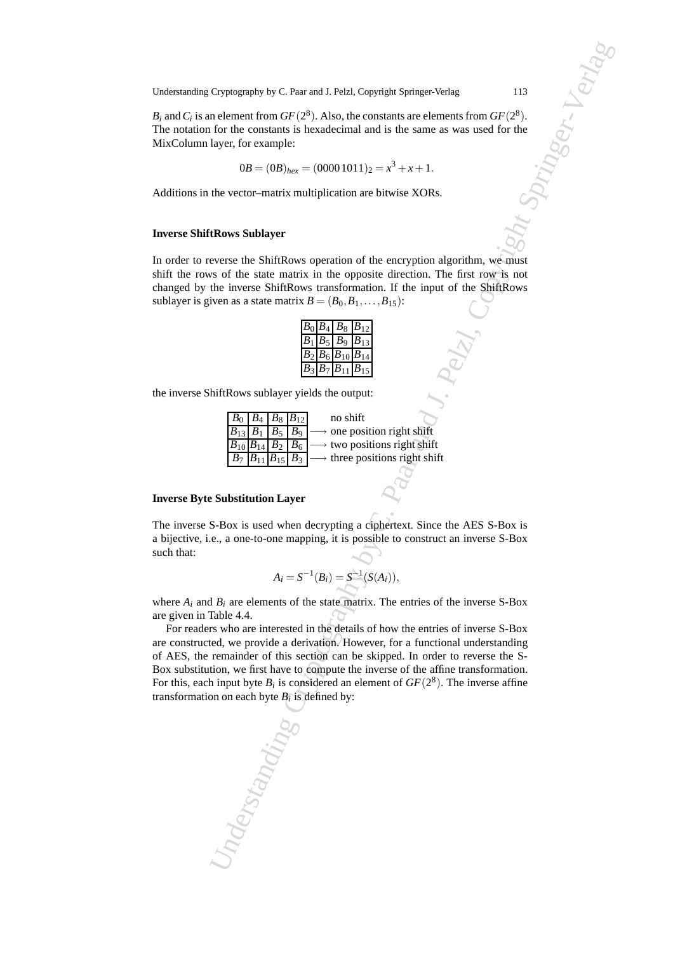$B_i$  and  $C_i$  is an element from  $GF(2^8)$ . Also, the constants are elements from  $GF(2^8)$ . The notation for the constants is hexadecimal and is the same as was used for the MixColumn layer, for example:

$$
0B = (0B)_{hex} = (00001011)_2 = x^3 + x + 1.
$$

Additions in the vector–matrix multiplication are bitwise XORs.

#### **Inverse ShiftRows Sublayer**

In order to reverse the ShiftRows operation of the encryption algorithm, we must shift the rows of the state matrix in the opposite direction. The first row is not changed by the inverse ShiftRows transformation. If the input of the ShiftRows sublayer is given as a state matrix  $B = (B_0, B_1, \ldots, B_{15})$ :

| B <sub>0</sub> |         | $B_4 \, \, B_8$ | $B_{12}$ |
|----------------|---------|-----------------|----------|
| $B_1$          | $B_{5}$ | B <sub>9</sub>  | $B_{13}$ |
| $B_2$          | $B_6$   | $B_{10}$        | $B_{14}$ |
|                | $B_7$   | $B_{11}$        |          |

the inverse ShiftRows sublayer yields the output:

| $B_0$ $B_4$ $B_8$ $B_{12}$ |  | no shift                                                                                   |
|----------------------------|--|--------------------------------------------------------------------------------------------|
|                            |  | $B_{13}$ $B_1$ $B_5$ $B_9$ $\longrightarrow$ one position right shift                      |
|                            |  | $B_{10}B_{14}B_2B_6 \longrightarrow$ two positions right shift                             |
|                            |  | $\boxed{B_7 \mid B_{11} \mid B_{15} \mid B_3} \longrightarrow$ three positions right shift |

#### **Inverse Byte Substitution Layer**

The inverse S-Box is used when decrypting a ciphertext. Since the AES S-Box is a bijective, i.e., a one-to-one mapping, it is possible to construct an inverse S-Box such that:

$$
A_i = S^{-1}(B_i) = S^{-1}(S(A_i)),
$$

where  $A_i$  and  $B_i$  are elements of the state matrix. The entries of the inverse S-Box are given in Table 4.4.

Cryptography by C. Patr and J. Pelzl, Copyright Springer-Verlag<br>
113<br>
10 characteristic Cory 2, Mato, Boc constants are checked from the second form of F1<sup>29</sup>.<br>
Leyer, I. re example:<br>
Leyer, I. re example:<br>
Leyer, I. re e For readers who are interested in the details of how the entries of inverse S-Box are constructed, we provide a derivation. However, for a functional understanding of AES, the remainder of this section can be skipped. In order to reverse the S-Box substitution, we first have to compute the inverse of the affine transformation. For this, each input byte  $B_i$  is considered an element of  $GF(2^8)$ . The inverse affine transformation on each byte  $B_i$  is defined by: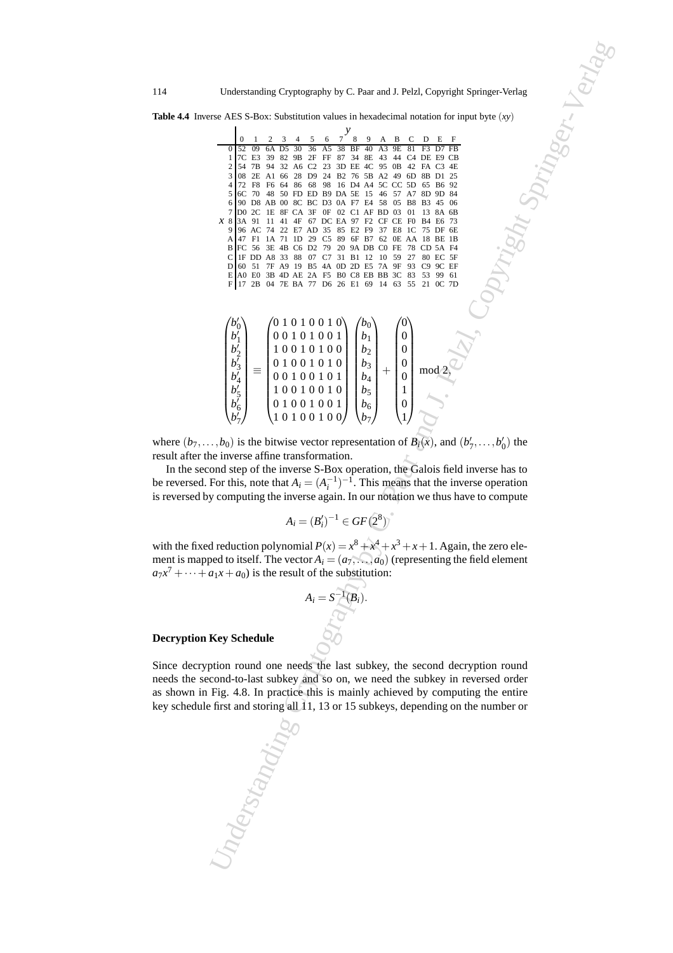**Table 4.4** Inverse AES S-Box: Substitution values in hexadecimal notation for input byte (*xy*)

| Understanding Cryptography by C. Paar and J. Pelzl, Copyright Springer-Verlag                                                                                                                                                                                                                                                                                                                                                                                                                                                                                                                                                                                                                                                                                                                                                                                                                                                                                                                                                        |  |  |  |  |  |
|--------------------------------------------------------------------------------------------------------------------------------------------------------------------------------------------------------------------------------------------------------------------------------------------------------------------------------------------------------------------------------------------------------------------------------------------------------------------------------------------------------------------------------------------------------------------------------------------------------------------------------------------------------------------------------------------------------------------------------------------------------------------------------------------------------------------------------------------------------------------------------------------------------------------------------------------------------------------------------------------------------------------------------------|--|--|--|--|--|
| rse AES S-Box: Substitution values in hexadecimal notation for input byte $(xy)$                                                                                                                                                                                                                                                                                                                                                                                                                                                                                                                                                                                                                                                                                                                                                                                                                                                                                                                                                     |  |  |  |  |  |
| 7<br>8<br>D E F<br>5<br>9<br>4<br>6<br>A<br>B<br>38<br>BF 40 A3<br>52 09<br>30<br>36<br>9E<br>6A D5<br>A5<br>7C E3<br>39<br>82 9B<br>2F FF 87 34 8E 43 44<br>C <sub>4</sub> DE E <sub>9</sub> C <sub>B</sub><br>1<br>54 7B 94 32 A6 C2 23 3D EE 4C 95 0B 42 FA C3 4E<br>2<br>08 2E A1 66 28 D9 24 B2 76 5B A2 49 6D 8B D1 25<br>$\frac{3}{ }$<br>72 F8 F6 64 86 68 98 16 D4 A4 5C CC 5D 65 B6 92<br>4<br>6C 70 48 50 FD ED B9 DA 5E 15 46 57 A7 8D 9D 84<br>5<br>90 D8 AB 00 8C BC D3 0A F7 E4 58 05 B8 B3 45 06<br>6<br>D0 2C 1E 8F CA 3F 0F 02 C1 AF BD 03 01<br>7<br>13 8A 6B<br><i>x</i> 8 3A 91 11 41 4F 67 DC EA 97 F2 CF CE F0 B4 E6 73<br>9 96 AC 74 22 E7 AD 35 85 E2 F9 37 E8 1C 75 DF 6E<br>A 47 F1 1A 71 1D 29 C5 89 6F B7 62 0E AA 18 BE 1B<br>B FC 56 3E 4B C6 D2 79 20 9A DB C0 FE 78 CD 5A F4<br>C IF DD A8 33 88 07 C7 31 B1 12 10 59 27 80 EC 5F<br>60 51 7F A9 19 B5 4A 0D 2D E5 7A 9F 93 C9 9C EF<br>D<br>E AO EO 3B 4D AE 2A F5 B0 C8 EB BB 3C 83 53 99 61<br>F 17 2B 04 7E BA 77 D6 26 E1 69 14 63 55 21 OC 7D |  |  |  |  |  |
| $\begin{pmatrix} b'_0\\b'_1\\b'_2\\b'_3\\b'_4\\b'_5\\b'_6\\b'_7 \end{pmatrix} \equiv \begin{pmatrix} 0 \ 1 \ 0 \ 1 \ 0 \ 0 \ 1 \ 0 \ 0 \ 1 \\ 0 \ 0 \ 1 \ 0 \ 1 \ 0 \ 0 \ 1 \\ 1 \ 0 \ 0 \ 1 \ 0 \ 1 \ 0 \ 1 \\ 0 \ 1 \ 0 \ 0 \ 1 \ 0 \ 1 \ 0 \\ 0 \ 1 \ 0 \ 0 \ 1 \ 0 \ 0 \ 1 \\ 0 \ 1 \ 0 \ 0 \ 1 \ 0 \ 0 \ 1 \\ 0 \ 1 \ 0 \ 0 \ 1 \ 0 \ $<br>$\boldsymbol{0}$<br>mod <sup>2</sup><br>$\boldsymbol{0}$<br>$\mathbf{1}$<br>$\boldsymbol{0}$<br>., $b_0$ ) is the bitwise vector representation of $B_i(x)$ , and $(b'_7, \ldots, b'_0)$ the<br>ne inverse affine transformation.<br>ond step of the inverse S-Box operation, the Galois field inverse has to<br>For this, note that $A_i = (A_i^{-1})^{-1}$ . This means that the inverse operation<br>y computing the inverse again. In our notation we thus have to compute                                                                                                                                                                                                       |  |  |  |  |  |
| $A_i = (B'_i)^{-1} \in GF(2^8)$                                                                                                                                                                                                                                                                                                                                                                                                                                                                                                                                                                                                                                                                                                                                                                                                                                                                                                                                                                                                      |  |  |  |  |  |
| d reduction polynomial $P(x) = x^8 + x^4 + x^3 + x + 1$ . Again, the zero ele-<br>bed to itself. The vector $A_i = (a_7, \ldots, a_0)$ (representing the field element<br>$a_1x + a_0$ is the result of the substitution:                                                                                                                                                                                                                                                                                                                                                                                                                                                                                                                                                                                                                                                                                                                                                                                                            |  |  |  |  |  |
| $A_i = S^{-1}(B_i).$                                                                                                                                                                                                                                                                                                                                                                                                                                                                                                                                                                                                                                                                                                                                                                                                                                                                                                                                                                                                                 |  |  |  |  |  |
| <b>Key Schedule</b>                                                                                                                                                                                                                                                                                                                                                                                                                                                                                                                                                                                                                                                                                                                                                                                                                                                                                                                                                                                                                  |  |  |  |  |  |
| ption round one needs the last subkey, the second decryption round<br>cond-to-last subkey and so on, we need the subkey in reversed order<br>Fig. 4.8. In practice this is mainly achieved by computing the entire<br>first and storing all 11, 13 or 15 subkeys, depending on the number or<br>nderstandin                                                                                                                                                                                                                                                                                                                                                                                                                                                                                                                                                                                                                                                                                                                          |  |  |  |  |  |

$$
\begin{pmatrix} b'_0 \\ b'_1 \\ b'_2 \\ b'_3 \\ b'_4 \\ b'_5 \\ b'_6 \\ b'_7 \end{pmatrix} \equiv \begin{pmatrix} 0 & 1 & 0 & 1 & 0 & 0 & 1 & 0 \\ 0 & 0 & 1 & 0 & 1 & 0 & 0 & 1 \\ 1 & 0 & 0 & 1 & 0 & 0 & 1 & 0 \\ 0 & 1 & 0 & 0 & 1 & 0 & 1 & 0 \\ 0 & 0 & 1 & 0 & 0 & 1 & 0 & 1 \\ 0 & 0 & 1 & 0 & 0 & 1 & 0 & 1 \\ 0 & 1 & 0 & 0 & 1 & 0 & 0 & 1 \\ 1 & 0 & 1 & 0 & 0 & 1 & 0 & 0 \end{pmatrix} \begin{pmatrix} b_0 \\ b_1 \\ b_2 \\ b_3 \\ b_4 \\ b_5 \\ b_6 \\ b_7 \end{pmatrix} + \begin{pmatrix} 0 \\ 0 \\ 0 \\ 0 \\ 1 \\ 0 \\ 0 \\ 1 \end{pmatrix} \bmod 2,
$$

where  $(b_7, \ldots, b_0)$  is the bitwise vector representation of  $B_i(x)$ , and  $(b'_7, \ldots, b'_0)$  the result after the inverse affine transformation.

In the second step of the inverse S-Box operation, the Galois field inverse has to be reversed. For this, note that  $A_i = (A_i^{-1})^{-1}$ . This means that the inverse operation is reversed by computing the inverse again. In our notation we thus have to compute

$$
A_i = (B'_i)^{-1} \in GF(2^8)
$$

with the fixed reduction polynomial  $P(x) = x^8 + x^4 + x^3 + x + 1$ . Again, the zero element is mapped to itself. The vector  $A_i = (a_7, \ldots, a_0)$  (representing the field element  $a_7x^7 + \cdots + a_1x + a_0$  is the result of the substitution:

$$
A_i = S^{-1}(B_i).
$$

#### **Decryption Key Schedule**

Since decryption round one needs the last subkey, the second decryption round needs the second-to-last subkey and so on, we need the subkey in reversed order as shown in Fig. 4.8. In practice this is mainly achieved by computing the entire key schedule first and storing all 11, 13 or 15 subkeys, depending on the number or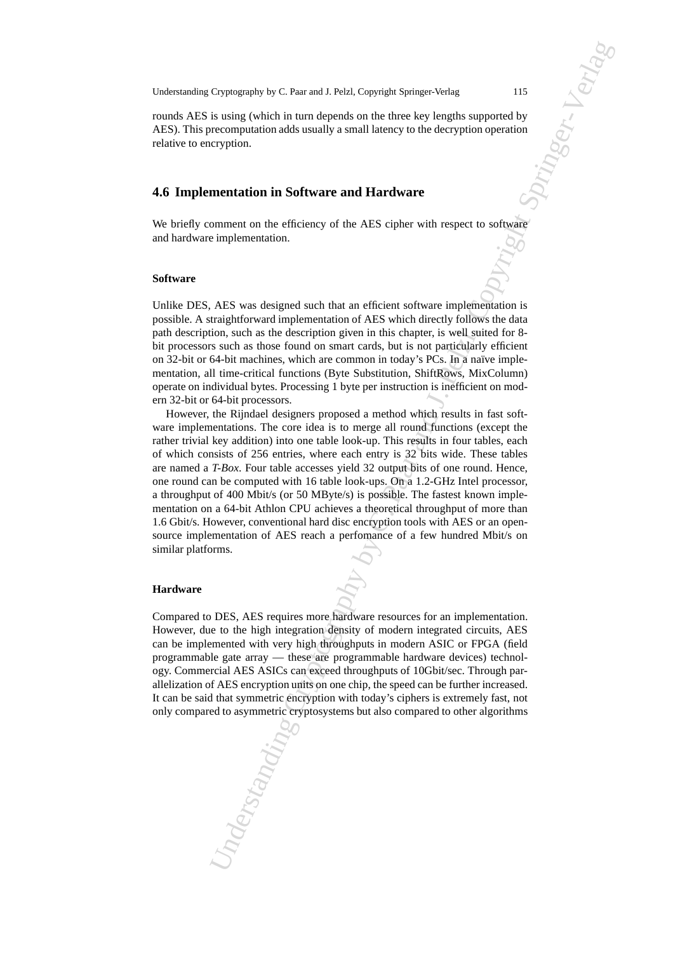rounds AES is using (which in turn depends on the three key lengths supported by AES). This precomputation adds usually a small latency to the decryption operation relative to encryption.

## **4.6 Implementation in Software and Hardware**

We briefly comment on the efficiency of the AES cipher with respect to software and hardware implementation.

#### **Software**

Unlike DES, AES was designed such that an efficient software implementation is possible. A straightforward implementation of AES which directly follows the data path description, such as the description given in this chapter, is well suited for 8 bit processors such as those found on smart cards, but is not particularly efficient on 32-bit or 64-bit machines, which are common in today's PCs. In a naïve implementation, all time-critical functions (Byte Substitution, ShiftRows, MixColumn) operate on individual bytes. Processing 1 byte per instruction is inefficient on modern 32-bit or 64-bit processors.

Cryptography by C. Paar and J. Pelzl, Copyright Springer-Verlag<br>
19<br>
19<br>
19 to instite (which in turn depends on the three key is<br>angle ampointed by the computation of the studies of the AUS cipher-with respect to solity<br> However, the Rijndael designers proposed a method which results in fast software implementations. The core idea is to merge all round functions (except the rather trivial key addition) into one table look-up. This results in four tables, each of which consists of 256 entries, where each entry is 32 bits wide. These tables are named a *T-Box*. Four table accesses yield 32 output bits of one round. Hence, one round can be computed with 16 table look-ups. On a 1.2-GHz Intel processor, a throughput of 400 Mbit/s (or 50 MByte/s) is possible. The fastest known implementation on a 64-bit Athlon CPU achieves a theoretical throughput of more than 1.6 Gbit/s. However, conventional hard disc encryption tools with AES or an opensource implementation of AES reach a perfomance of a few hundred Mbit/s on similar platforms.

#### **Hardware**

Compared to DES, AES requires more hardware resources for an implementation. However, due to the high integration density of modern integrated circuits, AES can be implemented with very high throughputs in modern ASIC or FPGA (field programmable gate array — these are programmable hardware devices) technology. Commercial AES ASICs can exceed throughputs of 10Gbit/sec. Through parallelization of AES encryption units on one chip, the speed can be further increased. It can be said that symmetric encryption with today's ciphers is extremely fast, not only compared to asymmetric cryptosystems but also compared to other algorithms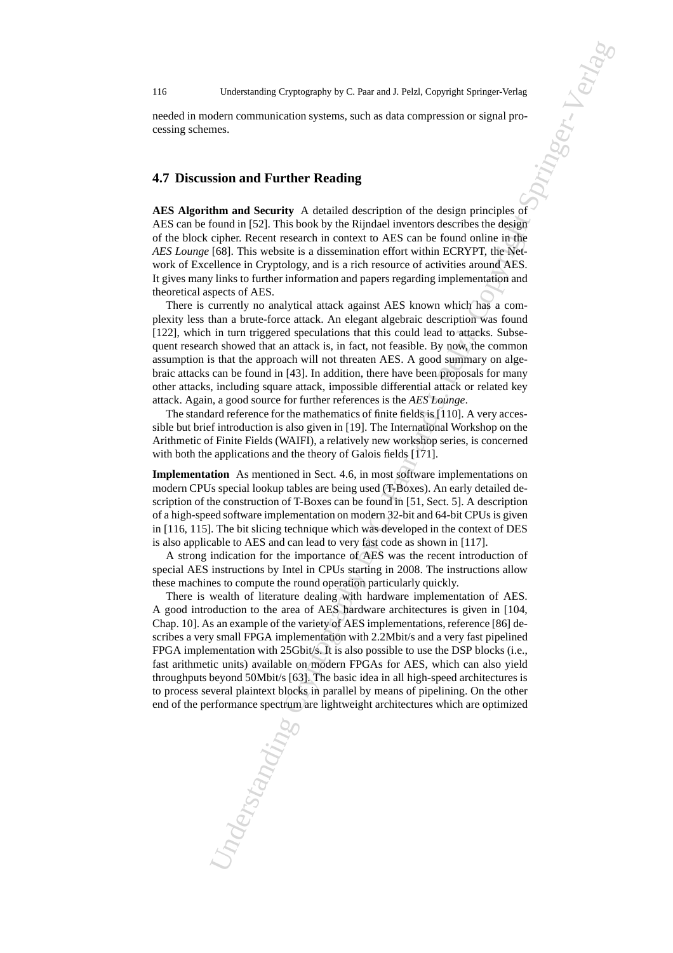needed in modern communication systems, such as data compression or signal processing schemes.

# **4.7 Discussion and Further Reading**

**AES Algorithm and Security** A detailed description of the design principles of AES can be found in [52]. This book by the Rijndael inventors describes the design of the block cipher. Recent research in context to AES can be found online in the *AES Lounge* [68]. This website is a dissemination effort within ECRYPT, the Network of Excellence in Cryptology, and is a rich resource of activities around AES. It gives many links to further information and papers regarding implementation and theoretical aspects of AES.

There is currently no analytical attack against AES known which has a complexity less than a brute-force attack. An elegant algebraic description was found [122], which in turn triggered speculations that this could lead to attacks. Subsequent research showed that an attack is, in fact, not feasible. By now, the common assumption is that the approach will not threaten AES. A good summary on algebraic attacks can be found in [43]. In addition, there have been proposals for many other attacks, including square attack, impossible differential attack or related key attack. Again, a good source for further references is the *AES Lounge*.

The standard reference for the mathematics of finite fields is [110]. A very accessible but brief introduction is also given in [19]. The International Workshop on the Arithmetic of Finite Fields (WAIFI), a relatively new workshop series, is concerned with both the applications and the theory of Galois fields [171].

**Implementation** As mentioned in Sect. 4.6, in most software implementations on modern CPUs special lookup tables are being used (T-Boxes). An early detailed description of the construction of T-Boxes can be found in [51, Sect. 5]. A description of a high-speed software implementation on modern 32-bit and 64-bit CPUs is given in [116, 115]. The bit slicing technique which was developed in the context of DES is also applicable to AES and can lead to very fast code as shown in [117].

A strong indication for the importance of AES was the recent introduction of special AES instructions by Intel in CPUs starting in 2008. The instructions allow these machines to compute the round operation particularly quickly.

Understanding Cryptography by C. Paar and J. Pelzl, Copyright Springer-Verlag<br>
2005<br>
2005 contradiction systems, such as data compression or signal pro-<br>
2005<br>
2005<br>
2006<br>
2006 comparison systems and Securities of the des There is wealth of literature dealing with hardware implementation of AES. A good introduction to the area of AES hardware architectures is given in [104, Chap. 10]. As an example of the variety of AES implementations, reference [86] describes a very small FPGA implementation with 2.2Mbit/s and a very fast pipelined FPGA implementation with 25Gbit/s. It is also possible to use the DSP blocks (i.e., fast arithmetic units) available on modern FPGAs for AES, which can also yield throughputs beyond 50Mbit/s [63]. The basic idea in all high-speed architectures is to process several plaintext blocks in parallel by means of pipelining. On the other end of the performance spectrum are lightweight architectures which are optimized